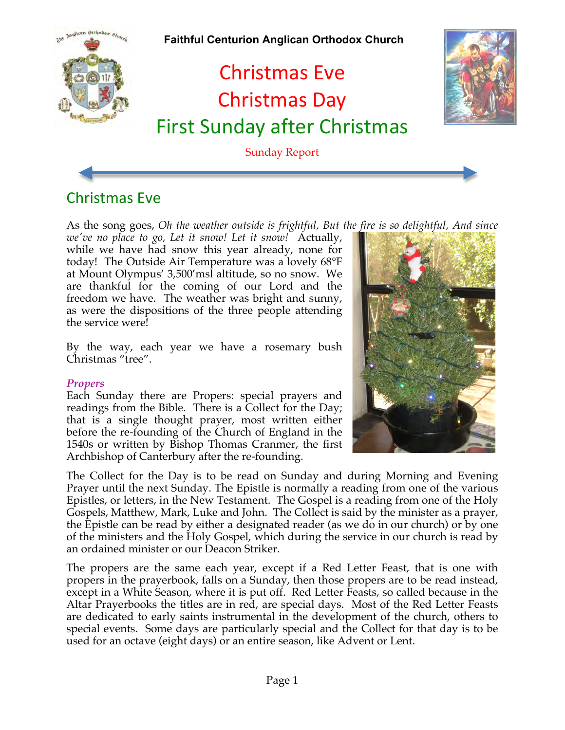

# Christmas Eve

As the song goes, *Oh the weather outside is frightful, But the fire is so delightful, And since* 

*we've no place to go, Let it snow! Let it snow!* Actually, while we have had snow this year already, none for today! The Outside Air Temperature was a lovely 68°F at Mount Olympus' 3,500'msl altitude, so no snow. We are thankful for the coming of our Lord and the freedom we have. The weather was bright and sunny, as were the dispositions of the three people attending the service were!

By the way, each year we have a rosemary bush Christmas "tree".

#### *Propers*

Each Sunday there are Propers: special prayers and readings from the Bible. There is a Collect for the Day; that is a single thought prayer, most written either before the re-founding of the Church of England in the 1540s or written by Bishop Thomas Cranmer, the first Archbishop of Canterbury after the re-founding.

The Collect for the Day is to be read on Sunday and during Morning and Evening Prayer until the next Sunday. The Epistle is normally a reading from one of the various Epistles, or letters, in the New Testament. The Gospel is a reading from one of the Holy Gospels, Matthew, Mark, Luke and John. The Collect is said by the minister as a prayer, the Epistle can be read by either a designated reader (as we do in our church) or by one of the ministers and the Holy Gospel, which during the service in our church is read by an ordained minister or our Deacon Striker.

The propers are the same each year, except if a Red Letter Feast, that is one with propers in the prayerbook, falls on a Sunday, then those propers are to be read instead, except in a White Season, where it is put off. Red Letter Feasts, so called because in the Altar Prayerbooks the titles are in red, are special days. Most of the Red Letter Feasts are dedicated to early saints instrumental in the development of the church, others to special events. Some days are particularly special and the Collect for that day is to be used for an octave (eight days) or an entire season, like Advent or Lent.

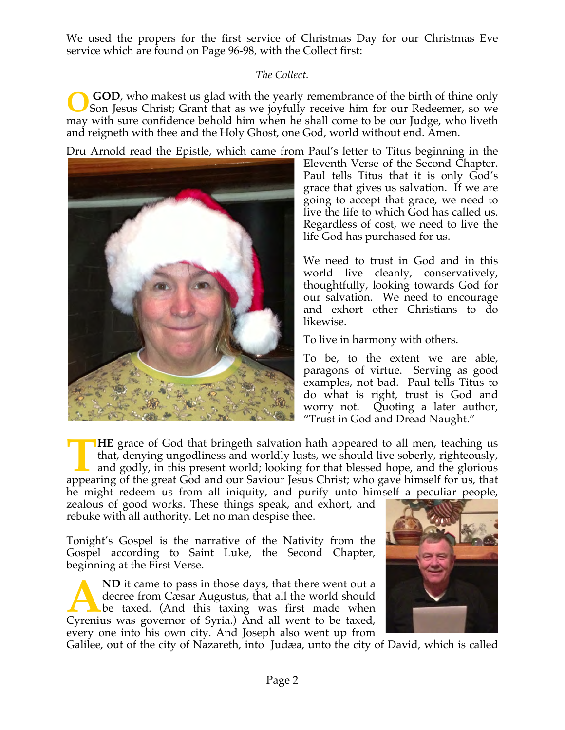We used the propers for the first service of Christmas Day for our Christmas Eve service which are found on Page 96-98, with the Collect first:

# *The Collect.*

 **GOD**, who makest us glad with the yearly remembrance of the birth of thine only Son Jesus Christ; Grant that as we joyfully receive him for our Redeemer, so we may with sure confidence behold him when he shall come to be our Judge, who liveth and reigneth with thee and the Holy Ghost, one God, world without end. Amen. **O**

Dru Arnold read the Epistle, which came from Paul's letter to Titus beginning in the



Eleventh Verse of the Second Chapter. Paul tells Titus that it is only God's grace that gives us salvation. If we are going to accept that grace, we need to live the life to which God has called us. Regardless of cost, we need to live the life God has purchased for us.

We need to trust in God and in this world live cleanly, conservatively, thoughtfully, looking towards God for our salvation. We need to encourage and exhort other Christians to do likewise.

To live in harmony with others.

To be, to the extent we are able, paragons of virtue. Serving as good examples, not bad. Paul tells Titus to do what is right, trust is God and worry not. Quoting a later author, "Trust in God and Dread Naught."

**HE** grace of God that bringeth salvation hath appeared to all men, teaching us that, denying ungodliness and worldly lusts, we should live soberly, righteously, and godly, in this present world; looking for that blessed hope, and the glorious **APPE** grace of God that bringeth salvation hath appeared to all men, teaching us that, denying ungodliness and worldly lusts, we should live soberly, righteously, and godly, in this present world; looking for that blessed he might redeem us from all iniquity, and purify unto himself a peculiar people,

zealous of good works. These things speak, and exhort, and rebuke with all authority. Let no man despise thee.

Tonight's Gospel is the narrative of the Nativity from the Gospel according to Saint Luke, the Second Chapter, beginning at the First Verse.

**ND** it came to pass in those days, that there went out a decree from Cæsar Augustus, that all the world should be taxed. (And this taxing was first made when ND it came to pass in those days, that there went out a decree from Cæsar Augustus, that all the world should be taxed. (And this taxing was first made when Cyrenius was governor of Syria.) And all went to be taxed, every one into his own city. And Joseph also went up from



Galilee, out of the city of Nazareth, into Judæa, unto the city of David, which is called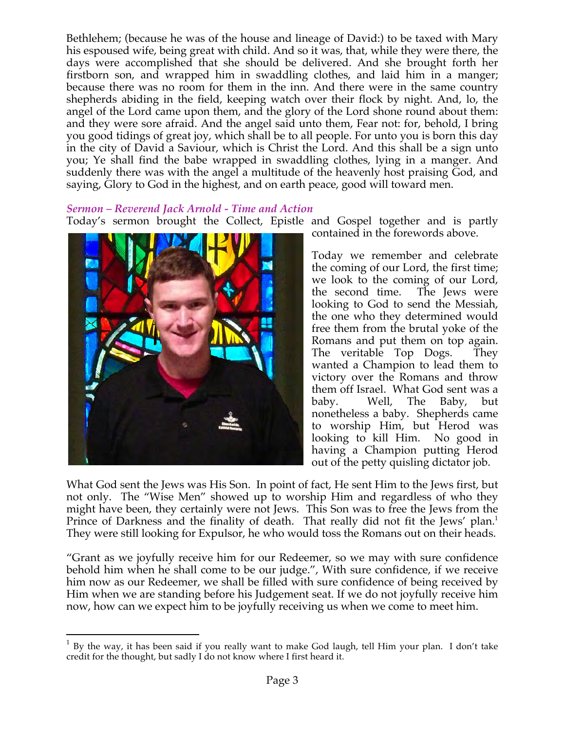Bethlehem; (because he was of the house and lineage of David:) to be taxed with Mary his espoused wife, being great with child. And so it was, that, while they were there, the days were accomplished that she should be delivered. And she brought forth her firstborn son, and wrapped him in swaddling clothes, and laid him in a manger; because there was no room for them in the inn. And there were in the same country shepherds abiding in the field, keeping watch over their flock by night. And, lo, the angel of the Lord came upon them, and the glory of the Lord shone round about them: and they were sore afraid. And the angel said unto them, Fear not: for, behold, I bring you good tidings of great joy, which shall be to all people. For unto you is born this day in the city of David a Saviour, which is Christ the Lord. And this shall be a sign unto you; Ye shall find the babe wrapped in swaddling clothes, lying in a manger. And suddenly there was with the angel a multitude of the heavenly host praising God, and saying, Glory to God in the highest, and on earth peace, good will toward men.

#### *Sermon – Reverend Jack Arnold - Time and Action*

Today's sermon brought the Collect, Epistle and Gospel together and is partly



contained in the forewords above.

Today we remember and celebrate the coming of our Lord, the first time; we look to the coming of our Lord, the second time. The Jews were looking to God to send the Messiah, the one who they determined would free them from the brutal yoke of the Romans and put them on top again. The veritable Top Dogs. They wanted a Champion to lead them to victory over the Romans and throw them off Israel. What God sent was a baby. Well, The Baby, but nonetheless a baby. Shepherds came to worship Him, but Herod was looking to kill Him. No good in having a Champion putting Herod out of the petty quisling dictator job.

What God sent the Jews was His Son. In point of fact, He sent Him to the Jews first, but not only. The "Wise Men" showed up to worship Him and regardless of who they might have been, they certainly were not Jews. This Son was to free the Jews from the Prince of Darkness and the finality of death. That really did not fit the Jews' plan.<sup>1</sup> They were still looking for Expulsor, he who would toss the Romans out on their heads.

"Grant as we joyfully receive him for our Redeemer, so we may with sure confidence behold him when he shall come to be our judge.", With sure confidence, if we receive him now as our Redeemer, we shall be filled with sure confidence of being received by Him when we are standing before his Judgement seat. If we do not joyfully receive him now, how can we expect him to be joyfully receiving us when we come to meet him.

 $1$  By the way, it has been said if you really want to make God laugh, tell Him your plan. I don't take credit for the thought, but sadly I do not know where I first heard it.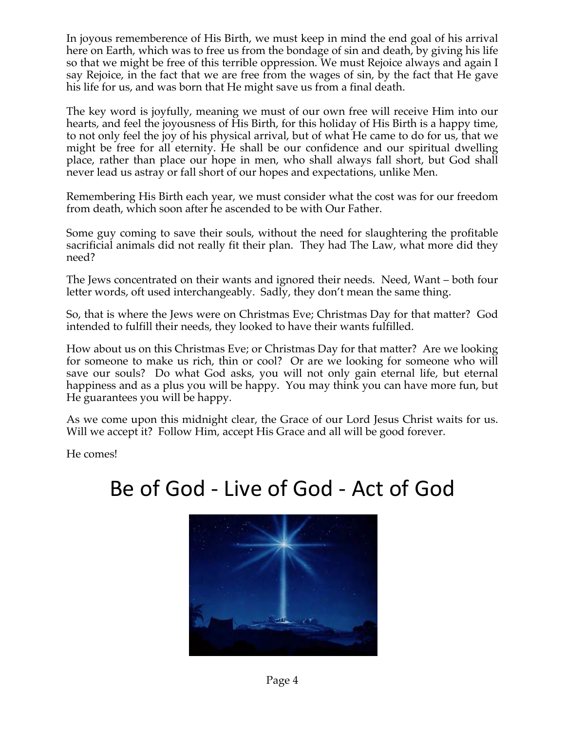In joyous rememberence of His Birth, we must keep in mind the end goal of his arrival here on Earth, which was to free us from the bondage of sin and death, by giving his life so that we might be free of this terrible oppression. We must Rejoice always and again I say Rejoice, in the fact that we are free from the wages of sin, by the fact that He gave his life for us, and was born that He might save us from a final death.

The key word is joyfully, meaning we must of our own free will receive Him into our hearts, and feel the joyousness of His Birth, for this holiday of His Birth is a happy time, to not only feel the joy of his physical arrival, but of what He came to do for us, that we might be free for all eternity. He shall be our confidence and our spiritual dwelling place, rather than place our hope in men, who shall always fall short, but God shall never lead us astray or fall short of our hopes and expectations, unlike Men.

Remembering His Birth each year, we must consider what the cost was for our freedom from death, which soon after he ascended to be with Our Father.

Some guy coming to save their souls, without the need for slaughtering the profitable sacrificial animals did not really fit their plan. They had The Law, what more did they need?

The Jews concentrated on their wants and ignored their needs. Need, Want – both four letter words, oft used interchangeably. Sadly, they don't mean the same thing.

So, that is where the Jews were on Christmas Eve; Christmas Day for that matter? God intended to fulfill their needs, they looked to have their wants fulfilled.

How about us on this Christmas Eve; or Christmas Day for that matter? Are we looking for someone to make us rich, thin or cool? Or are we looking for someone who will save our souls? Do what God asks, you will not only gain eternal life, but eternal happiness and as a plus you will be happy. You may think you can have more fun, but He guarantees you will be happy.

As we come upon this midnight clear, the Grace of our Lord Jesus Christ waits for us. Will we accept it? Follow Him, accept His Grace and all will be good forever.

He comes!

# Be of God - Live of God - Act of God

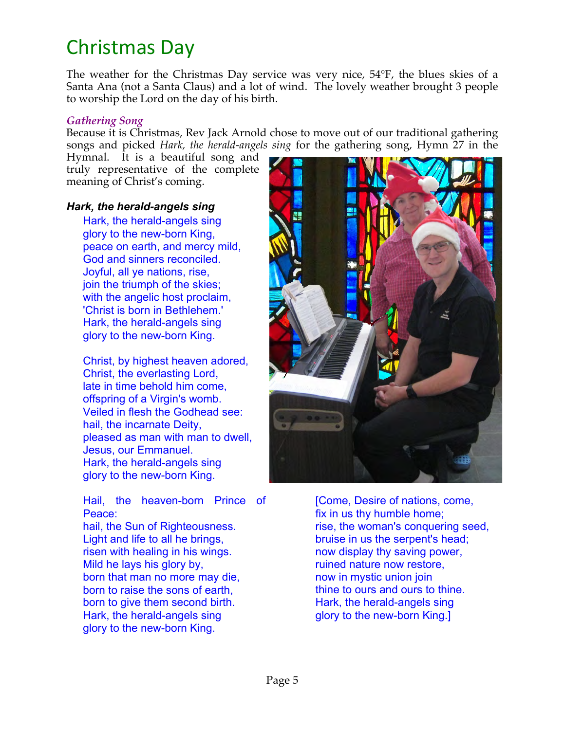# Christmas Day

The weather for the Christmas Day service was very nice, 54°F, the blues skies of a Santa Ana (not a Santa Claus) and a lot of wind. The lovely weather brought 3 people to worship the Lord on the day of his birth.

#### *Gathering Song*

Because it is Christmas, Rev Jack Arnold chose to move out of our traditional gathering songs and picked *Hark, the herald-angels sing* for the gathering song, Hymn 27 in the

Hymnal. It is a beautiful song and truly representative of the complete meaning of Christ's coming.

#### *Hark, the herald-angels sing*

Hark, the herald-angels sing glory to the new-born King, peace on earth, and mercy mild, God and sinners reconciled. Joyful, all ye nations, rise, join the triumph of the skies; with the angelic host proclaim, 'Christ is born in Bethlehem.' Hark, the herald-angels sing glory to the new-born King.

Christ, by highest heaven adored, Christ, the everlasting Lord, late in time behold him come, offspring of a Virgin's womb. Veiled in flesh the Godhead see: hail, the incarnate Deity, pleased as man with man to dwell, Jesus, our Emmanuel. Hark, the herald-angels sing glory to the new-born King.

Hail, the heaven-born Prince of Peace:

hail, the Sun of Righteousness. Light and life to all he brings, risen with healing in his wings. Mild he lays his glory by, born that man no more may die, born to raise the sons of earth, born to give them second birth. Hark, the herald-angels sing glory to the new-born King.



[Come, Desire of nations, come, fix in us thy humble home; rise, the woman's conquering seed, bruise in us the serpent's head; now display thy saving power, ruined nature now restore, now in mystic union join thine to ours and ours to thine. Hark, the herald-angels sing glory to the new-born King.]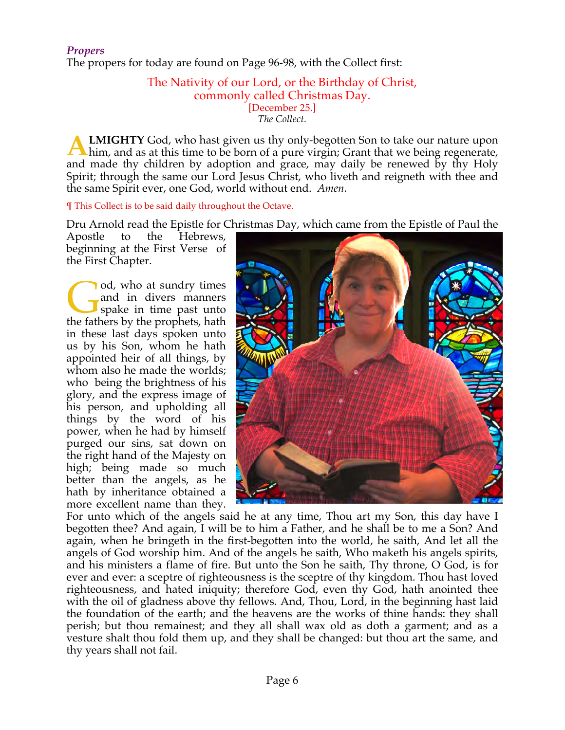The propers for today are found on Page 96-98, with the Collect first:

#### The Nativity of our Lord, or the Birthday of Christ, commonly called Christmas Day. [December 25.] *The Collect.*

**LMIGHTY** God, who hast given us thy only-begotten Son to take our nature upon him, and as at this time to be born of a pure virgin; Grant that we being regenerate, and made thy children by adoption and grace, may daily be renewed by thy Holy Spirit; through the same our Lord Jesus Christ, who liveth and reigneth with thee and the same Spirit ever, one God, world without end. *Amen.* **A**

¶ This Collect is to be said daily throughout the Octave.

Dru Arnold read the Epistle for Christmas Day, which came from the Epistle of Paul the

Apostle to the Hebrews, beginning at the First Verse of the First Chapter.

od, who at sundry times and in divers manners spake in time past unto od, who at sundry times<br>and in divers manners<br>spake in time past unto<br>the fathers by the prophets, hath in these last days spoken unto us by his Son, whom he hath appointed heir of all things, by whom also he made the worlds; who being the brightness of his glory, and the express image of his person, and upholding all things by the word of his power, when he had by himself purged our sins, sat down on the right hand of the Majesty on high; being made so much better than the angels, as he hath by inheritance obtained a more excellent name than they.



For unto which of the angels said he at any time, Thou art my Son, this day have I begotten thee? And again, I will be to him a Father, and he shall be to me a Son? And again, when he bringeth in the first-begotten into the world, he saith, And let all the angels of God worship him. And of the angels he saith, Who maketh his angels spirits, and his ministers a flame of fire. But unto the Son he saith, Thy throne, O God, is for ever and ever: a sceptre of righteousness is the sceptre of thy kingdom. Thou hast loved righteousness, and hated iniquity; therefore God, even thy God, hath anointed thee with the oil of gladness above thy fellows. And, Thou, Lord, in the beginning hast laid the foundation of the earth; and the heavens are the works of thine hands: they shall perish; but thou remainest; and they all shall wax old as doth a garment; and as a vesture shalt thou fold them up, and they shall be changed: but thou art the same, and thy years shall not fail.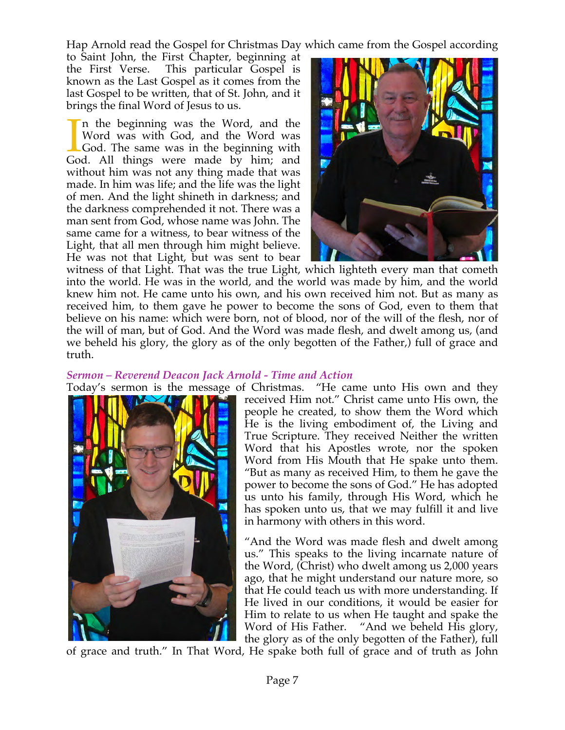Hap Arnold read the Gospel for Christmas Day which came from the Gospel according

to Saint John, the First Chapter, beginning at the First Verse. This particular Gospel is known as the Last Gospel as it comes from the last Gospel to be written, that of St. John, and it brings the final Word of Jesus to us.

n the beginning was the Word, and the Word was with God, and the Word was God. The same was in the beginning with In the beginning was the Word, and the Word was with God, and the Word was God. The same was in the beginning with God. All things were made by him; and without him was not any thing made that was made. In him was life; and the life was the light of men. And the light shineth in darkness; and the darkness comprehended it not. There was a man sent from God, whose name was John. The same came for a witness, to bear witness of the Light, that all men through him might believe. He was not that Light, but was sent to bear



witness of that Light. That was the true Light, which lighteth every man that cometh into the world. He was in the world, and the world was made by him, and the world knew him not. He came unto his own, and his own received him not. But as many as received him, to them gave he power to become the sons of God, even to them that believe on his name: which were born, not of blood, nor of the will of the flesh, nor of the will of man, but of God. And the Word was made flesh, and dwelt among us, (and we beheld his glory, the glory as of the only begotten of the Father,) full of grace and truth.

#### *Sermon – Reverend Deacon Jack Arnold - Time and Action*



Today's sermon is the message of Christmas. "He came unto His own and they received Him not." Christ came unto His own, the people he created, to show them the Word which He is the living embodiment of, the Living and True Scripture. They received Neither the written Word that his Apostles wrote, nor the spoken Word from His Mouth that He spake unto them. "But as many as received Him, to them he gave the power to become the sons of God." He has adopted us unto his family, through His Word, which he has spoken unto us, that we may fulfill it and live in harmony with others in this word.

> "And the Word was made flesh and dwelt among us." This speaks to the living incarnate nature of the Word, (Christ) who dwelt among us 2,000 years ago, that he might understand our nature more, so that He could teach us with more understanding. If He lived in our conditions, it would be easier for Him to relate to us when He taught and spake the Word of His Father. "And we beheld His glory, the glory as of the only begotten of the Father), full

of grace and truth." In That Word, He spake both full of grace and of truth as John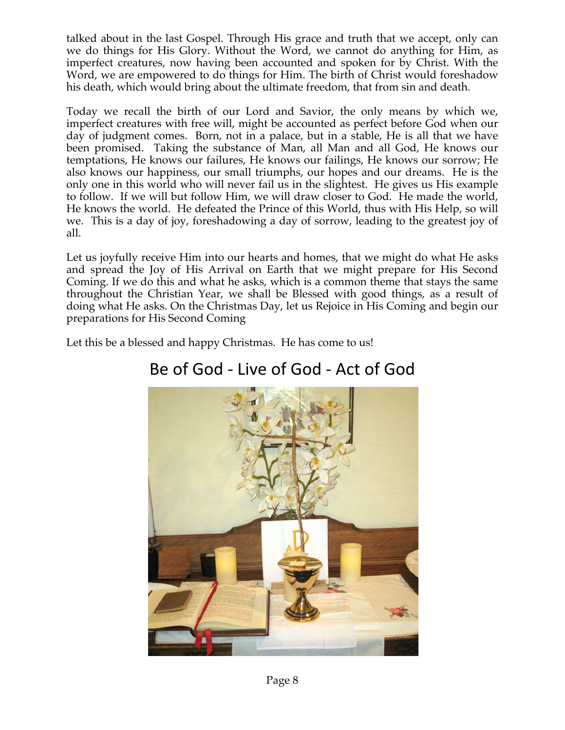talked about in the last Gospel. Through His grace and truth that we accept, only can we do things for His Glory. Without the Word, we cannot do anything for Him, as imperfect creatures, now having been accounted and spoken for by Christ. With the Word, we are empowered to do things for Him. The birth of Christ would foreshadow his death, which would bring about the ultimate freedom, that from sin and death.

Today we recall the birth of our Lord and Savior, the only means by which we, imperfect creatures with free will, might be accounted as perfect before God when our day of judgment comes. Born, not in a palace, but in a stable, He is all that we have been promised. Taking the substance of Man, all Man and all God, He knows our temptations, He knows our failures, He knows our failings, He knows our sorrow; He also knows our happiness, our small triumphs, our hopes and our dreams. He is the only one in this world who will never fail us in the slightest. He gives us His example to follow. If we will but follow Him, we will draw closer to God. He made the world, He knows the world. He defeated the Prince of this World, thus with His Help, so will we. This is a day of joy, foreshadowing a day of sorrow, leading to the greatest joy of all.

Let us joyfully receive Him into our hearts and homes, that we might do what He asks and spread the Joy of His Arrival on Earth that we might prepare for His Second Coming. If we do this and what he asks, which is a common theme that stays the same throughout the Christian Year, we shall be Blessed with good things, as a result of doing what He asks. On the Christmas Day, let us Rejoice in His Coming and begin our preparations for His Second Coming

Let this be a blessed and happy Christmas. He has come to us!



# Be of God - Live of God - Act of God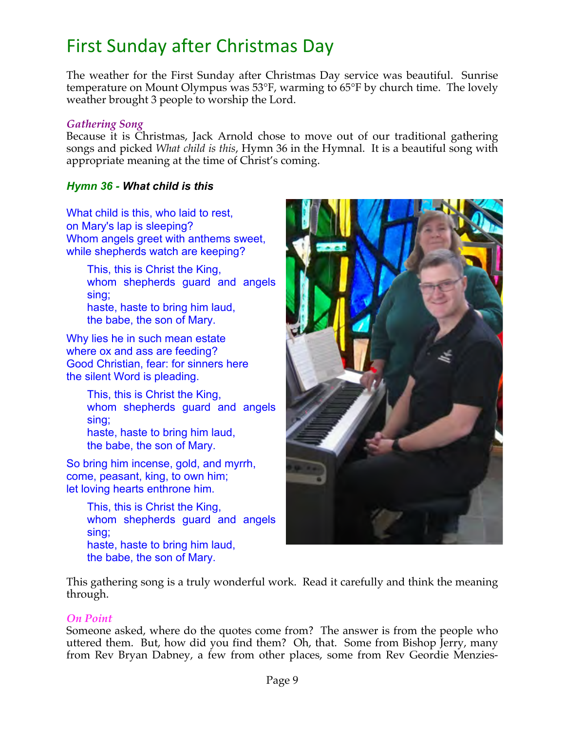# First Sunday after Christmas Day

The weather for the First Sunday after Christmas Day service was beautiful. Sunrise temperature on Mount Olympus was 53°F, warming to 65°F by church time. The lovely weather brought 3 people to worship the Lord.

#### *Gathering Song*

Because it is Christmas, Jack Arnold chose to move out of our traditional gathering songs and picked *What child is this*, Hymn 36 in the Hymnal. It is a beautiful song with appropriate meaning at the time of Christ's coming.

## *Hymn 36 - What child is this*

What child is this, who laid to rest, on Mary's lap is sleeping? Whom angels greet with anthems sweet, while shepherds watch are keeping?

> This, this is Christ the King, whom shepherds guard and angels sing; haste, haste to bring him laud, the babe, the son of Mary.

Why lies he in such mean estate where ox and ass are feeding? Good Christian, fear: for sinners here the silent Word is pleading.

> This, this is Christ the King, whom shepherds guard and angels sing; haste, haste to bring him laud, the babe, the son of Mary.

So bring him incense, gold, and myrrh, come, peasant, king, to own him; let loving hearts enthrone him.

> This, this is Christ the King, whom shepherds guard and angels sing; haste, haste to bring him laud, the babe, the son of Mary.



This gathering song is a truly wonderful work. Read it carefully and think the meaning through.

#### *On Point*

Someone asked, where do the quotes come from? The answer is from the people who uttered them. But, how did you find them? Oh, that. Some from Bishop Jerry, many from Rev Bryan Dabney, a few from other places, some from Rev Geordie Menzies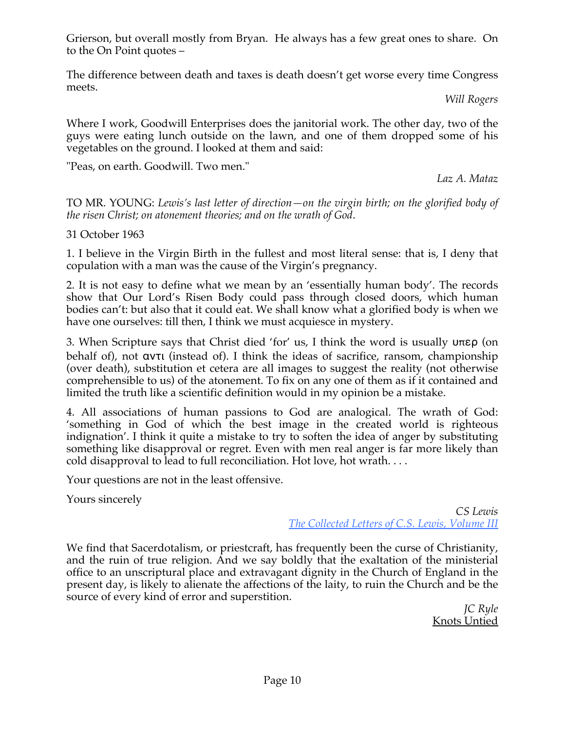Grierson, but overall mostly from Bryan. He always has a few great ones to share. On to the On Point quotes –

The difference between death and taxes is death doesn't get worse every time Congress meets.

*Will Rogers*

Where I work, Goodwill Enterprises does the janitorial work. The other day, two of the guys were eating lunch outside on the lawn, and one of them dropped some of his vegetables on the ground. I looked at them and said:

"Peas, on earth. Goodwill. Two men."

*Laz A. Mataz* 

TO MR. YOUNG: *Lewis's last letter of direction—on the virgin birth; on the glorified body of the risen Christ; on atonement theories; and on the wrath of God*.

31 October 1963

1. I believe in the Virgin Birth in the fullest and most literal sense: that is, I deny that copulation with a man was the cause of the Virgin's pregnancy.

2. It is not easy to define what we mean by an 'essentially human body'. The records show that Our Lord's Risen Body could pass through closed doors, which human bodies can't: but also that it could eat. We shall know what a glorified body is when we have one ourselves: till then, I think we must acquiesce in mystery.

3. When Scripture says that Christ died 'for' us, I think the word is usually υπερ (on behalf of), not αντι (instead of). I think the ideas of sacrifice, ransom, championship (over death), substitution et cetera are all images to suggest the reality (not otherwise comprehensible to us) of the atonement. To fix on any one of them as if it contained and limited the truth like a scientific definition would in my opinion be a mistake.

4. All associations of human passions to God are analogical. The wrath of God: 'something in God of which the best image in the created world is righteous indignation'. I think it quite a mistake to try to soften the idea of anger by substituting something like disapproval or regret. Even with men real anger is far more likely than cold disapproval to lead to full reconciliation. Hot love, hot wrath. . . .

Your questions are not in the least offensive.

Yours sincerely

*CS Lewis The Collected Letters of C.S. Lewis, Volume III*

We find that Sacerdotalism, or priestcraft, has frequently been the curse of Christianity, and the ruin of true religion. And we say boldly that the exaltation of the ministerial office to an unscriptural place and extravagant dignity in the Church of England in the present day, is likely to alienate the affections of the laity, to ruin the Church and be the source of every kind of error and superstition.

> *JC Ryle* Knots Untied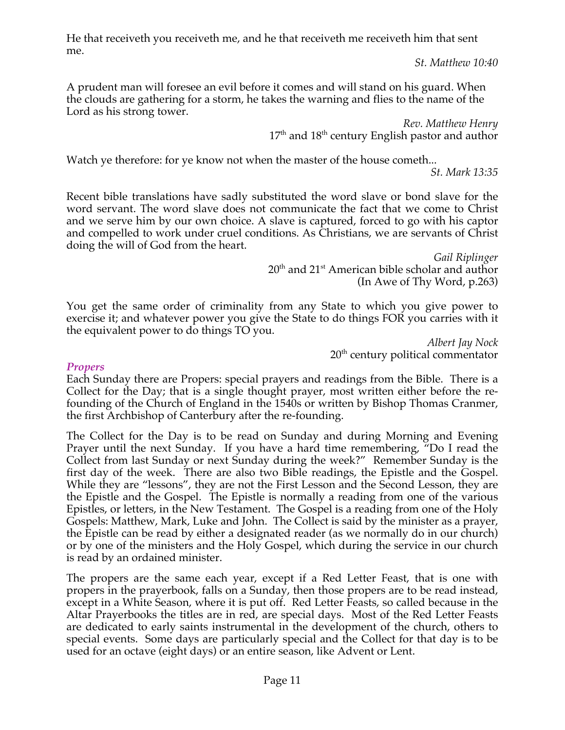He that receiveth you receiveth me, and he that receiveth me receiveth him that sent me.

*St. Matthew 10:40*

A prudent man will foresee an evil before it comes and will stand on his guard. When the clouds are gathering for a storm, he takes the warning and flies to the name of the Lord as his strong tower.

> *Rev. Matthew Henry*  $17<sup>th</sup>$  and  $18<sup>th</sup>$  century English pastor and author

Watch ye therefore: for ye know not when the master of the house cometh...

*St. Mark 13:35*

Recent bible translations have sadly substituted the word slave or bond slave for the word servant. The word slave does not communicate the fact that we come to Christ and we serve him by our own choice. A slave is captured, forced to go with his captor and compelled to work under cruel conditions. As Christians, we are servants of Christ doing the will of God from the heart.

> *Gail Riplinger* 20<sup>th</sup> and 21<sup>st</sup> American bible scholar and author (In Awe of Thy Word, p.263)

You get the same order of criminality from any State to which you give power to exercise it; and whatever power you give the State to do things FOR you carries with it the equivalent power to do things TO you.

*Albert Jay Nock* 20<sup>th</sup> century political commentator

#### *Propers*

Each Sunday there are Propers: special prayers and readings from the Bible. There is a Collect for the Day; that is a single thought prayer, most written either before the refounding of the Church of England in the 1540s or written by Bishop Thomas Cranmer, the first Archbishop of Canterbury after the re-founding.

The Collect for the Day is to be read on Sunday and during Morning and Evening Prayer until the next Sunday. If you have a hard time remembering, "Do I read the Collect from last Sunday or next Sunday during the week?" Remember Sunday is the first day of the week. There are also two Bible readings, the Epistle and the Gospel. While they are "lessons", they are not the First Lesson and the Second Lesson, they are the Epistle and the Gospel. The Epistle is normally a reading from one of the various Epistles, or letters, in the New Testament. The Gospel is a reading from one of the Holy Gospels: Matthew, Mark, Luke and John. The Collect is said by the minister as a prayer, the Epistle can be read by either a designated reader (as we normally do in our church) or by one of the ministers and the Holy Gospel, which during the service in our church is read by an ordained minister.

The propers are the same each year, except if a Red Letter Feast, that is one with propers in the prayerbook, falls on a Sunday, then those propers are to be read instead, except in a White Season, where it is put off. Red Letter Feasts, so called because in the Altar Prayerbooks the titles are in red, are special days. Most of the Red Letter Feasts are dedicated to early saints instrumental in the development of the church, others to special events. Some days are particularly special and the Collect for that day is to be used for an octave (eight days) or an entire season, like Advent or Lent.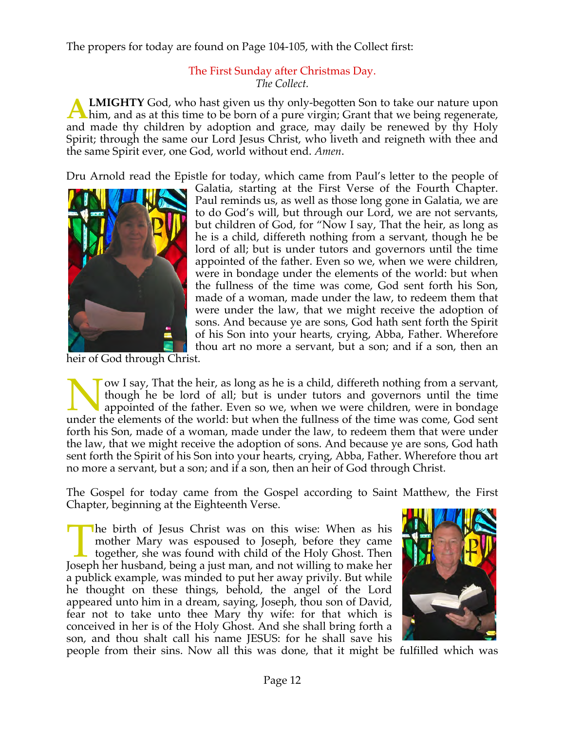The propers for today are found on Page 104-105, with the Collect first:

# The First Sunday after Christmas Day. *The Collect.*

**LMIGHTY** God, who hast given us thy only-begotten Son to take our nature upon him, and as at this time to be born of a pure virgin; Grant that we being regenerate, and made thy children by adoption and grace, may daily be renewed by thy Holy Spirit; through the same our Lord Jesus Christ, who liveth and reigneth with thee and the same Spirit ever, one God, world without end. *Amen*. **A**

Dru Arnold read the Epistle for today, which came from Paul's letter to the people of



Galatia, starting at the First Verse of the Fourth Chapter. Paul reminds us, as well as those long gone in Galatia, we are to do God's will, but through our Lord, we are not servants, but children of God, for "Now I say, That the heir, as long as he is a child, differeth nothing from a servant, though he be lord of all; but is under tutors and governors until the time appointed of the father. Even so we, when we were children, were in bondage under the elements of the world: but when the fullness of the time was come, God sent forth his Son, made of a woman, made under the law, to redeem them that were under the law, that we might receive the adoption of sons. And because ye are sons, God hath sent forth the Spirit of his Son into your hearts, crying, Abba, Father. Wherefore thou art no more a servant, but a son; and if a son, then an

heir of God through Christ.

ow I say, That the heir, as long as he is a child, differeth nothing from a servant, though he be lord of all; but is under tutors and governors until the time appointed of the father. Even so we, when we were children, were in bondage I ow I say, That the heir, as long as he is a child, differeth nothing from a servant, though he be lord of all; but is under tutors and governors until the time appointed of the father. Even so we, when we were children, forth his Son, made of a woman, made under the law, to redeem them that were under the law, that we might receive the adoption of sons. And because ye are sons, God hath sent forth the Spirit of his Son into your hearts, crying, Abba, Father. Wherefore thou art no more a servant, but a son; and if a son, then an heir of God through Christ.

The Gospel for today came from the Gospel according to Saint Matthew, the First Chapter, beginning at the Eighteenth Verse.

he birth of Jesus Christ was on this wise: When as his mother Mary was espoused to Joseph, before they came together, she was found with child of the Holy Ghost. Then The birth of Jesus Christ was on this wise: When as his mother Mary was espoused to Joseph, before they came together, she was found with child of the Holy Ghost. Then Joseph her husband, being a just man, and not willing a publick example, was minded to put her away privily. But while he thought on these things, behold, the angel of the Lord appeared unto him in a dream, saying, Joseph, thou son of David, fear not to take unto thee Mary thy wife: for that which is conceived in her is of the Holy Ghost. And she shall bring forth a son, and thou shalt call his name JESUS: for he shall save his



people from their sins. Now all this was done, that it might be fulfilled which was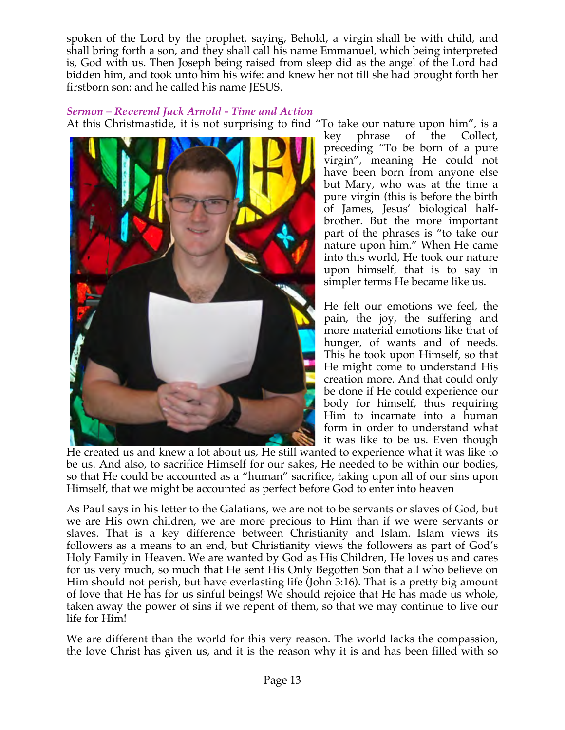spoken of the Lord by the prophet, saying, Behold, a virgin shall be with child, and shall bring forth a son, and they shall call his name Emmanuel, which being interpreted is, God with us. Then Joseph being raised from sleep did as the angel of the Lord had bidden him, and took unto him his wife: and knew her not till she had brought forth her firstborn son: and he called his name JESUS.

*Sermon – Reverend Jack Arnold - Time and Action* At this Christmastide, it is not surprising to find "To take our nature upon him", is a



key phrase of the Collect, preceding "To be born of a pure virgin", meaning He could not have been born from anyone else but Mary, who was at the time a pure virgin (this is before the birth of James, Jesus' biological halfbrother. But the more important part of the phrases is "to take our nature upon him." When He came into this world, He took our nature upon himself, that is to say in simpler terms He became like us.

He felt our emotions we feel, the pain, the joy, the suffering and more material emotions like that of hunger, of wants and of needs. This he took upon Himself, so that He might come to understand His creation more. And that could only be done if He could experience our body for himself, thus requiring Him to incarnate into a human form in order to understand what it was like to be us. Even though

He created us and knew a lot about us, He still wanted to experience what it was like to be us. And also, to sacrifice Himself for our sakes, He needed to be within our bodies, so that He could be accounted as a "human" sacrifice, taking upon all of our sins upon Himself, that we might be accounted as perfect before God to enter into heaven

As Paul says in his letter to the Galatians, we are not to be servants or slaves of God, but we are His own children, we are more precious to Him than if we were servants or slaves. That is a key difference between Christianity and Islam. Islam views its followers as a means to an end, but Christianity views the followers as part of God's Holy Family in Heaven. We are wanted by God as His Children, He loves us and cares for us very much, so much that He sent His Only Begotten Son that all who believe on Him should not perish, but have everlasting life (John 3:16). That is a pretty big amount of love that He has for us sinful beings! We should rejoice that He has made us whole, taken away the power of sins if we repent of them, so that we may continue to live our life for Him!

We are different than the world for this very reason. The world lacks the compassion, the love Christ has given us, and it is the reason why it is and has been filled with so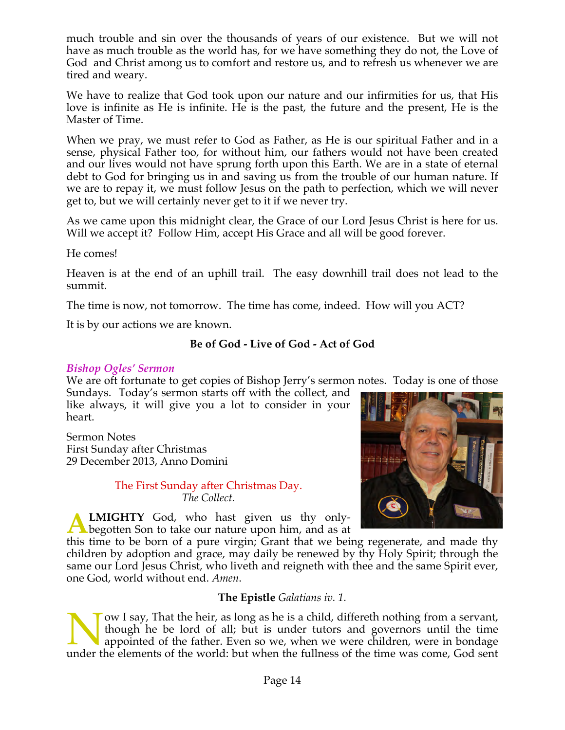much trouble and sin over the thousands of years of our existence. But we will not have as much trouble as the world has, for we have something they do not, the Love of God and Christ among us to comfort and restore us, and to refresh us whenever we are tired and weary.

We have to realize that God took upon our nature and our infirmities for us, that His love is infinite as He is infinite. He is the past, the future and the present, He is the Master of Time.

When we pray, we must refer to God as Father, as He is our spiritual Father and in a sense, physical Father too, for without him, our fathers would not have been created and our lives would not have sprung forth upon this Earth. We are in a state of eternal debt to God for bringing us in and saving us from the trouble of our human nature. If we are to repay it, we must follow Jesus on the path to perfection, which we will never get to, but we will certainly never get to it if we never try.

As we came upon this midnight clear, the Grace of our Lord Jesus Christ is here for us. Will we accept it? Follow Him, accept His Grace and all will be good forever.

He comes!

Heaven is at the end of an uphill trail. The easy downhill trail does not lead to the summit.

The time is now, not tomorrow. The time has come, indeed. How will you ACT?

It is by our actions we are known.

# **Be of God - Live of God - Act of God**

#### *Bishop Ogles' Sermon*

We are oft fortunate to get copies of Bishop Jerry's sermon notes. Today is one of those Sundays. Today's sermon starts off with the collect, and

like always, it will give you a lot to consider in your heart.

Sermon Notes First Sunday after Christmas 29 December 2013, Anno Domini

> The First Sunday after Christmas Day. *The Collect.*



**LMIGHTY** God, who hast given us thy only-**ALMIGHTY** God, who hast given us thy only-<br>begotten Son to take our nature upon him, and as at

this time to be born of a pure virgin; Grant that we being regenerate, and made thy children by adoption and grace, may daily be renewed by thy Holy Spirit; through the same our Lord Jesus Christ, who liveth and reigneth with thee and the same Spirit ever, one God, world without end. *Amen*.

#### **The Epistle** *Galatians iv. 1.*

ow I say, That the heir, as long as he is a child, differeth nothing from a servant, though he be lord of all; but is under tutors and governors until the time appointed of the father. Even so we, when we were children, were in bondage I ow I say, That the heir, as long as he is a child, differeth nothing from a servant, though he be lord of all; but is under tutors and governors until the time appointed of the father. Even so we, when we were children,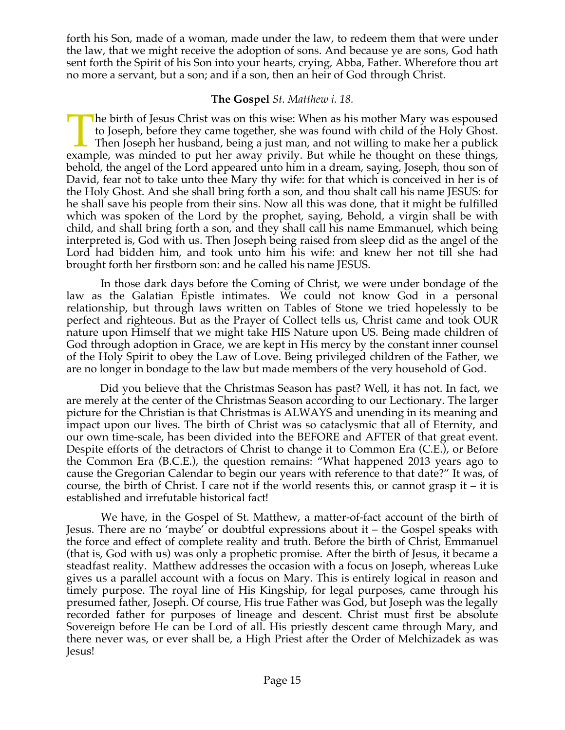forth his Son, made of a woman, made under the law, to redeem them that were under the law, that we might receive the adoption of sons. And because ye are sons, God hath sent forth the Spirit of his Son into your hearts, crying, Abba, Father. Wherefore thou art no more a servant, but a son; and if a son, then an heir of God through Christ.

## **The Gospel** *St. Matthew i. 18.*

he birth of Jesus Christ was on this wise: When as his mother Mary was espoused to Joseph, before they came together, she was found with child of the Holy Ghost. Then Joseph her husband, being a just man, and not willing to make her a publick The birth of Jesus Christ was on this wise: When as his mother Mary was espoused to Joseph, before they came together, she was found with child of the Holy Ghost. Then Joseph her husband, being a just man, and not willing behold, the angel of the Lord appeared unto him in a dream, saying, Joseph, thou son of David, fear not to take unto thee Mary thy wife: for that which is conceived in her is of the Holy Ghost. And she shall bring forth a son, and thou shalt call his name JESUS: for he shall save his people from their sins. Now all this was done, that it might be fulfilled which was spoken of the Lord by the prophet, saying, Behold, a virgin shall be with child, and shall bring forth a son, and they shall call his name Emmanuel, which being interpreted is, God with us. Then Joseph being raised from sleep did as the angel of the Lord had bidden him, and took unto him his wife: and knew her not till she had brought forth her firstborn son: and he called his name JESUS.

 In those dark days before the Coming of Christ, we were under bondage of the law as the Galatian Epistle intimates. We could not know God in a personal relationship, but through laws written on Tables of Stone we tried hopelessly to be perfect and righteous. But as the Prayer of Collect tells us, Christ came and took OUR nature upon Himself that we might take HIS Nature upon US. Being made children of God through adoption in Grace, we are kept in His mercy by the constant inner counsel of the Holy Spirit to obey the Law of Love. Being privileged children of the Father, we are no longer in bondage to the law but made members of the very household of God.

 Did you believe that the Christmas Season has past? Well, it has not. In fact, we are merely at the center of the Christmas Season according to our Lectionary. The larger picture for the Christian is that Christmas is ALWAYS and unending in its meaning and impact upon our lives. The birth of Christ was so cataclysmic that all of Eternity, and our own time-scale, has been divided into the BEFORE and AFTER of that great event. Despite efforts of the detractors of Christ to change it to Common Era (C.E.), or Before the Common Era (B.C.E.), the question remains: "What happened 2013 years ago to cause the Gregorian Calendar to begin our years with reference to that date?" It was, of course, the birth of Christ. I care not if the world resents this, or cannot grasp it – it is established and irrefutable historical fact!

 We have, in the Gospel of St. Matthew, a matter-of-fact account of the birth of Jesus. There are no 'maybe' or doubtful expressions about it – the Gospel speaks with the force and effect of complete reality and truth. Before the birth of Christ, Emmanuel (that is, God with us) was only a prophetic promise. After the birth of Jesus, it became a steadfast reality. Matthew addresses the occasion with a focus on Joseph, whereas Luke gives us a parallel account with a focus on Mary. This is entirely logical in reason and timely purpose. The royal line of His Kingship, for legal purposes, came through his presumed father, Joseph. Of course, His true Father was God, but Joseph was the legally recorded father for purposes of lineage and descent. Christ must first be absolute Sovereign before He can be Lord of all. His priestly descent came through Mary, and there never was, or ever shall be, a High Priest after the Order of Melchizadek as was Jesus!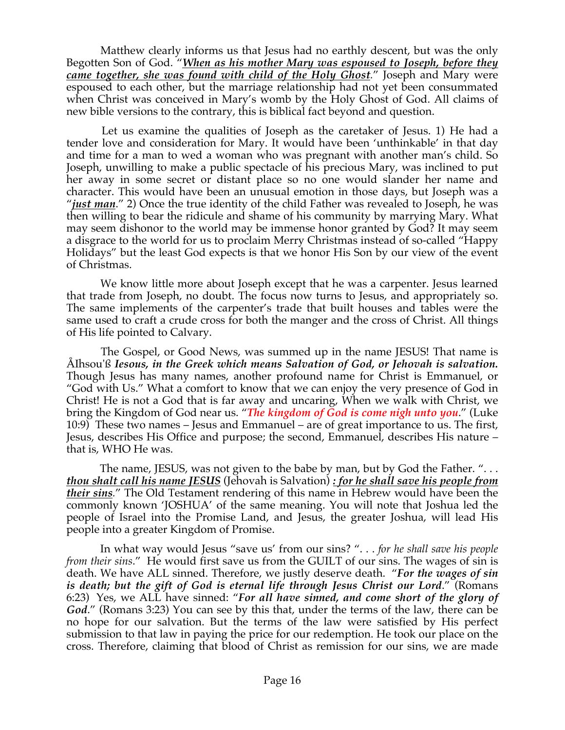Matthew clearly informs us that Jesus had no earthly descent, but was the only Begotten Son of God. "*When as his mother Mary was espoused to Joseph, before they came together, she was found with child of the Holy Ghost.*" Joseph and Mary were espoused to each other, but the marriage relationship had not yet been consummated when Christ was conceived in Mary's womb by the Holy Ghost of God. All claims of new bible versions to the contrary, this is biblical fact beyond and question.

 Let us examine the qualities of Joseph as the caretaker of Jesus. 1) He had a tender love and consideration for Mary. It would have been 'unthinkable' in that day and time for a man to wed a woman who was pregnant with another man's child. So Joseph, unwilling to make a public spectacle of his precious Mary, was inclined to put her away in some secret or distant place so no one would slander her name and character. This would have been an unusual emotion in those days, but Joseph was a "*just man*." 2) Once the true identity of the child Father was revealed to Joseph, he was then willing to bear the ridicule and shame of his community by marrying Mary. What may seem dishonor to the world may be immense honor granted by God? It may seem a disgrace to the world for us to proclaim Merry Christmas instead of so-called "Happy Holidays" but the least God expects is that we honor His Son by our view of the event of Christmas.

 We know little more about Joseph except that he was a carpenter. Jesus learned that trade from Joseph, no doubt. The focus now turns to Jesus, and appropriately so. The same implements of the carpenter's trade that built houses and tables were the same used to craft a crude cross for both the manger and the cross of Christ. All things of His life pointed to Calvary.

 The Gospel, or Good News, was summed up in the name JESUS! That name is ÅIhsou'ß *Iesous, in the Greek which means Salvation of God, or Jehovah is salvation.* Though Jesus has many names, another profound name for Christ is Emmanuel, or "God with Us." What a comfort to know that we can enjoy the very presence of God in Christ! He is not a God that is far away and uncaring, When we walk with Christ, we bring the Kingdom of God near us. "*The kingdom of God is come nigh unto you*." (Luke 10:9) These two names – Jesus and Emmanuel – are of great importance to us. The first, Jesus, describes His Office and purpose; the second, Emmanuel, describes His nature – that is, WHO He was.

The name, JESUS, was not given to the babe by man, but by God the Father. "... *thou shalt call his name JESUS* (Jehovah is Salvation) *: for he shall save his people from their sins.*" The Old Testament rendering of this name in Hebrew would have been the commonly known 'JOSHUA' of the same meaning. You will note that Joshua led the people of Israel into the Promise Land, and Jesus, the greater Joshua, will lead His people into a greater Kingdom of Promise.

 In what way would Jesus "save us' from our sins? ". . . *for he shall save his people from their sins*." He would first save us from the GUILT of our sins. The wages of sin is death. We have ALL sinned. Therefore, we justly deserve death. "*For the wages of sin is death; but the gift of God is eternal life through Jesus Christ our Lord*." (Romans 6:23) Yes, we ALL have sinned: "*For all have sinned, and come short of the glory of God*." (Romans 3:23) You can see by this that, under the terms of the law, there can be no hope for our salvation. But the terms of the law were satisfied by His perfect submission to that law in paying the price for our redemption. He took our place on the cross. Therefore, claiming that blood of Christ as remission for our sins, we are made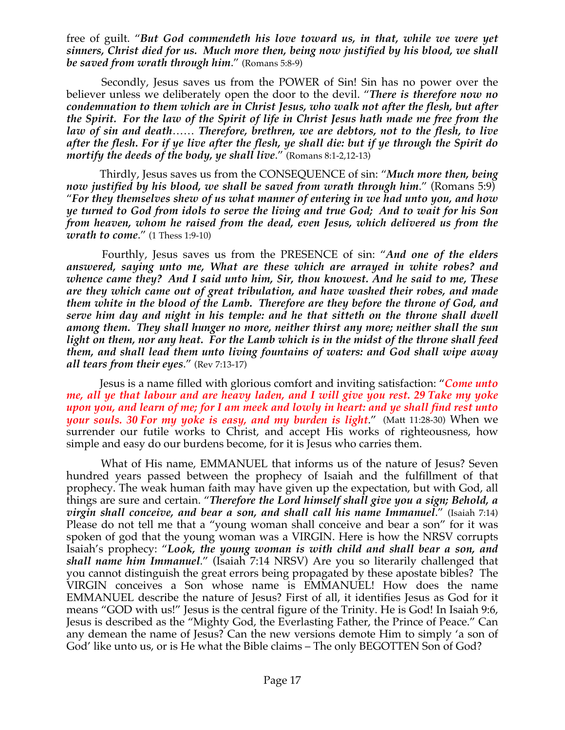free of guilt. "*But God commendeth his love toward us, in that, while we were yet sinners, Christ died for us. Much more then, being now justified by his blood, we shall be saved from wrath through him*." (Romans 5:8-9)

 Secondly, Jesus saves us from the POWER of Sin! Sin has no power over the believer unless we deliberately open the door to the devil. "*There is therefore now no condemnation to them which are in Christ Jesus, who walk not after the flesh, but after the Spirit. For the law of the Spirit of life in Christ Jesus hath made me free from the law of sin and death*…… *Therefore, brethren, we are debtors, not to the flesh, to live after the flesh. For if ye live after the flesh, ye shall die: but if ye through the Spirit do mortify the deeds of the body, ye shall live*." (Romans 8:1-2,12-13)

 Thirdly, Jesus saves us from the CONSEQUENCE of sin: "*Much more then, being now justified by his blood, we shall be saved from wrath through him*." (Romans 5:9) "*For they themselves shew of us what manner of entering in we had unto you, and how ye turned to God from idols to serve the living and true God; And to wait for his Son from heaven, whom he raised from the dead, even Jesus, which delivered us from the wrath to come*." (1 Thess 1:9-10)

 Fourthly, Jesus saves us from the PRESENCE of sin: "*And one of the elders answered, saying unto me, What are these which are arrayed in white robes? and whence came they? And I said unto him, Sir, thou knowest. And he said to me, These are they which came out of great tribulation, and have washed their robes, and made them white in the blood of the Lamb. Therefore are they before the throne of God, and serve him day and night in his temple: and he that sitteth on the throne shall dwell among them. They shall hunger no more, neither thirst any more; neither shall the sun light on them, nor any heat. For the Lamb which is in the midst of the throne shall feed them, and shall lead them unto living fountains of waters: and God shall wipe away all tears from their eyes*." (Rev 7:13-17)

 Jesus is a name filled with glorious comfort and inviting satisfaction: "*Come unto me, all ye that labour and are heavy laden, and I will give you rest. 29 Take my yoke upon you, and learn of me; for I am meek and lowly in heart: and ye shall find rest unto your souls. 30 For my yoke is easy, and my burden is light*." (Matt 11:28-30) When we surrender our futile works to Christ, and accept His works of righteousness, how simple and easy do our burdens become, for it is Jesus who carries them.

 What of His name, EMMANUEL that informs us of the nature of Jesus? Seven hundred years passed between the prophecy of Isaiah and the fulfillment of that prophecy. The weak human faith may have given up the expectation, but with God, all things are sure and certain. "*Therefore the Lord himself shall give you a sign; Behold, a virgin shall conceive, and bear a son, and shall call his name Immanuel*." (Isaiah 7:14) Please do not tell me that a "young woman shall conceive and bear a son" for it was spoken of god that the young woman was a VIRGIN. Here is how the NRSV corrupts Isaiah's prophecy: "*Look, the young woman is with child and shall bear a son, and shall name him Immanuel*." (Isaiah 7:14 NRSV) Are you so literarily challenged that you cannot distinguish the great errors being propagated by these apostate bibles? The VIRGIN conceives a Son whose name is EMMANUEL! How does the name EMMANUEL describe the nature of Jesus? First of all, it identifies Jesus as God for it means "GOD with us!" Jesus is the central figure of the Trinity. He is God! In Isaiah 9:6, Jesus is described as the "Mighty God, the Everlasting Father, the Prince of Peace." Can any demean the name of Jesus? Can the new versions demote Him to simply 'a son of God' like unto us, or is He what the Bible claims – The only BEGOTTEN Son of God?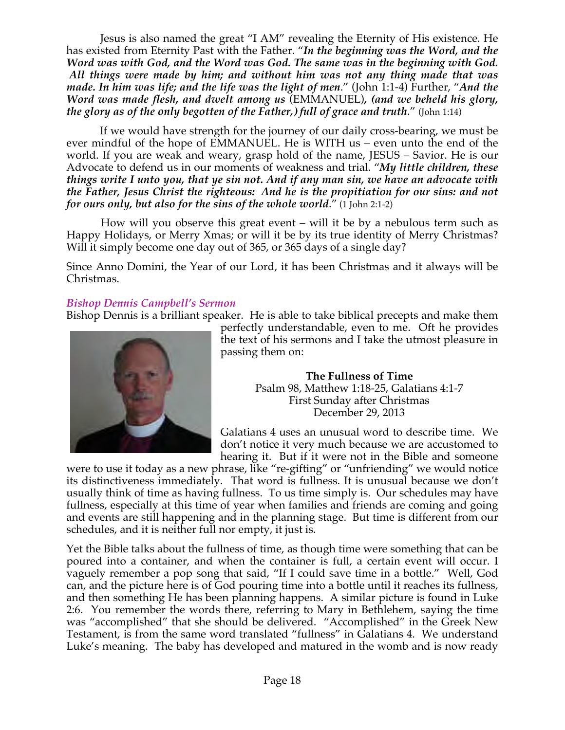Jesus is also named the great "I AM" revealing the Eternity of His existence. He has existed from Eternity Past with the Father. "*In the beginning was the Word, and the Word was with God, and the Word was God. The same was in the beginning with God. All things were made by him; and without him was not any thing made that was made. In him was life; and the life was the light of men*." (John 1:1-4) Further, "*And the Word was made flesh, and dwelt among us* (EMMANUEL)*, (and we beheld his glory, the glory as of the only begotten of the Father,) full of grace and truth*." (John 1:14)

 If we would have strength for the journey of our daily cross-bearing, we must be ever mindful of the hope of EMMANUEL. He is WITH us – even unto the end of the world. If you are weak and weary, grasp hold of the name, JESUS – Savior. He is our Advocate to defend us in our moments of weakness and trial. "*My little children, these things write I unto you, that ye sin not. And if any man sin, we have an advocate with the Father, Jesus Christ the righteous: And he is the propitiation for our sins: and not for ours only, but also for the sins of the whole world*." (1 John 2:1-2)

 How will you observe this great event – will it be by a nebulous term such as Happy Holidays, or Merry Xmas; or will it be by its true identity of Merry Christmas? Will it simply become one day out of 365, or 365 days of a single day?

Since Anno Domini, the Year of our Lord, it has been Christmas and it always will be Christmas.

#### *Bishop Dennis Campbell's Sermon*

Bishop Dennis is a brilliant speaker. He is able to take biblical precepts and make them



perfectly understandable, even to me. Oft he provides the text of his sermons and I take the utmost pleasure in passing them on:

> **The Fullness of Time** Psalm 98, Matthew 1:18-25, Galatians 4:1-7 First Sunday after Christmas December 29, 2013

Galatians 4 uses an unusual word to describe time. We don't notice it very much because we are accustomed to hearing it. But if it were not in the Bible and someone

were to use it today as a new phrase, like "re-gifting" or "unfriending" we would notice its distinctiveness immediately. That word is fullness. It is unusual because we don't usually think of time as having fullness. To us time simply is. Our schedules may have fullness, especially at this time of year when families and friends are coming and going and events are still happening and in the planning stage. But time is different from our schedules, and it is neither full nor empty, it just is.

Yet the Bible talks about the fullness of time, as though time were something that can be poured into a container, and when the container is full, a certain event will occur. I vaguely remember a pop song that said, "If I could save time in a bottle." Well, God can, and the picture here is of God pouring time into a bottle until it reaches its fullness, and then something He has been planning happens. A similar picture is found in Luke 2:6. You remember the words there, referring to Mary in Bethlehem, saying the time was "accomplished" that she should be delivered. "Accomplished" in the Greek New Testament, is from the same word translated "fullness" in Galatians 4. We understand Luke's meaning. The baby has developed and matured in the womb and is now ready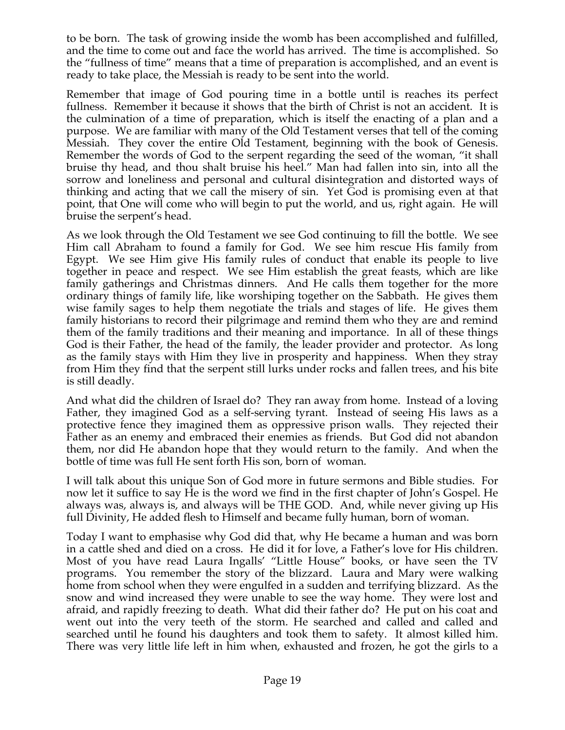to be born. The task of growing inside the womb has been accomplished and fulfilled, and the time to come out and face the world has arrived. The time is accomplished. So the "fullness of time" means that a time of preparation is accomplished, and an event is ready to take place, the Messiah is ready to be sent into the world.

Remember that image of God pouring time in a bottle until is reaches its perfect fullness. Remember it because it shows that the birth of Christ is not an accident. It is the culmination of a time of preparation, which is itself the enacting of a plan and a purpose. We are familiar with many of the Old Testament verses that tell of the coming Messiah. They cover the entire Old Testament, beginning with the book of Genesis. Remember the words of God to the serpent regarding the seed of the woman, "it shall bruise thy head, and thou shalt bruise his heel." Man had fallen into sin, into all the sorrow and loneliness and personal and cultural disintegration and distorted ways of thinking and acting that we call the misery of sin. Yet God is promising even at that point, that One will come who will begin to put the world, and us, right again. He will bruise the serpent's head.

As we look through the Old Testament we see God continuing to fill the bottle. We see Him call Abraham to found a family for God. We see him rescue His family from Egypt. We see Him give His family rules of conduct that enable its people to live together in peace and respect. We see Him establish the great feasts, which are like family gatherings and Christmas dinners. And He calls them together for the more ordinary things of family life, like worshiping together on the Sabbath. He gives them wise family sages to help them negotiate the trials and stages of life. He gives them family historians to record their pilgrimage and remind them who they are and remind them of the family traditions and their meaning and importance. In all of these things God is their Father, the head of the family, the leader provider and protector. As long as the family stays with Him they live in prosperity and happiness. When they stray from Him they find that the serpent still lurks under rocks and fallen trees, and his bite is still deadly.

And what did the children of Israel do? They ran away from home. Instead of a loving Father, they imagined God as a self-serving tyrant. Instead of seeing His laws as a protective fence they imagined them as oppressive prison walls. They rejected their Father as an enemy and embraced their enemies as friends. But God did not abandon them, nor did He abandon hope that they would return to the family. And when the bottle of time was full He sent forth His son, born of woman.

I will talk about this unique Son of God more in future sermons and Bible studies. For now let it suffice to say He is the word we find in the first chapter of John's Gospel. He always was, always is, and always will be THE GOD. And, while never giving up His full Divinity, He added flesh to Himself and became fully human, born of woman.

Today I want to emphasise why God did that, why He became a human and was born in a cattle shed and died on a cross. He did it for love, a Father's love for His children. Most of you have read Laura Ingalls' "Little House" books, or have seen the TV programs. You remember the story of the blizzard. Laura and Mary were walking home from school when they were engulfed in a sudden and terrifying blizzard. As the snow and wind increased they were unable to see the way home. They were lost and afraid, and rapidly freezing to death. What did their father do? He put on his coat and went out into the very teeth of the storm. He searched and called and called and searched until he found his daughters and took them to safety. It almost killed him. There was very little life left in him when, exhausted and frozen, he got the girls to a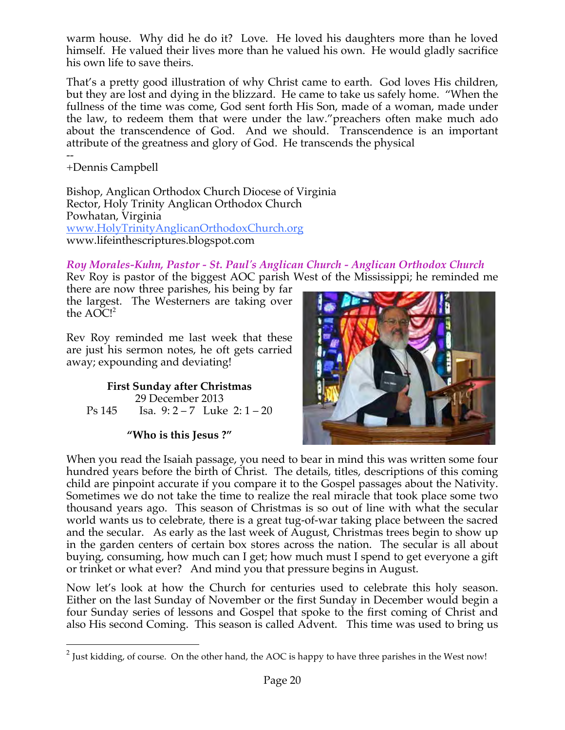warm house. Why did he do it? Love. He loved his daughters more than he loved himself. He valued their lives more than he valued his own. He would gladly sacrifice his own life to save theirs.

That's a pretty good illustration of why Christ came to earth. God loves His children, but they are lost and dying in the blizzard. He came to take us safely home. "When the fullness of the time was come, God sent forth His Son, made of a woman, made under the law, to redeem them that were under the law."preachers often make much ado about the transcendence of God. And we should. Transcendence is an important attribute of the greatness and glory of God. He transcends the physical

-- +Dennis Campbell

Bishop, Anglican Orthodox Church Diocese of Virginia Rector, Holy Trinity Anglican Orthodox Church Powhatan, Virginia www.HolyTrinityAnglicanOrthodoxChurch.org www.lifeinthescriptures.blogspot.com

*Roy Morales-Kuhn, Pastor - St. Paul's Anglican Church - Anglican Orthodox Church*

Rev Roy is pastor of the biggest AOC parish West of the Mississippi; he reminded me

there are now three parishes, his being by far the largest. The Westerners are taking over the  $AOC!^2$ 

Rev Roy reminded me last week that these are just his sermon notes, he oft gets carried away; expounding and deviating!

**First Sunday after Christmas** 29 December 2013 Ps 145 Isa. 9: 2 – 7 Luke 2: 1 – 20

# **"Who is this Jesus ?"**



When you read the Isaiah passage, you need to bear in mind this was written some four hundred years before the birth of Christ. The details, titles, descriptions of this coming child are pinpoint accurate if you compare it to the Gospel passages about the Nativity. Sometimes we do not take the time to realize the real miracle that took place some two thousand years ago. This season of Christmas is so out of line with what the secular world wants us to celebrate, there is a great tug-of-war taking place between the sacred and the secular. As early as the last week of August, Christmas trees begin to show up in the garden centers of certain box stores across the nation. The secular is all about buying, consuming, how much can I get; how much must I spend to get everyone a gift or trinket or what ever? And mind you that pressure begins in August.

Now let's look at how the Church for centuries used to celebrate this holy season. Either on the last Sunday of November or the first Sunday in December would begin a four Sunday series of lessons and Gospel that spoke to the first coming of Christ and also His second Coming. This season is called Advent. This time was used to bring us

<sup>&</sup>lt;sup>2</sup> Just kidding, of course. On the other hand, the AOC is happy to have three parishes in the West now!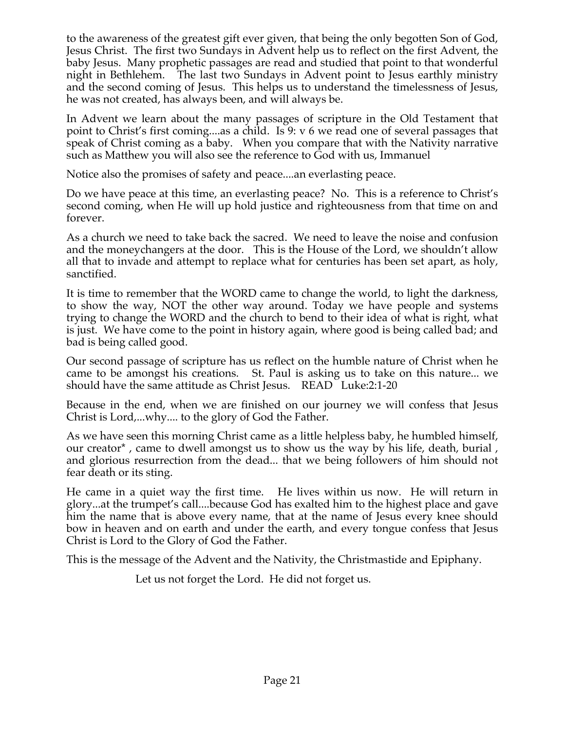to the awareness of the greatest gift ever given, that being the only begotten Son of God, Jesus Christ. The first two Sundays in Advent help us to reflect on the first Advent, the baby Jesus. Many prophetic passages are read and studied that point to that wonderful night in Bethlehem. The last two Sundays in Advent point to Jesus earthly ministry and the second coming of Jesus. This helps us to understand the timelessness of Jesus, he was not created, has always been, and will always be.

In Advent we learn about the many passages of scripture in the Old Testament that point to Christ's first coming....as a child. Is 9: v 6 we read one of several passages that speak of Christ coming as a baby. When you compare that with the Nativity narrative such as Matthew you will also see the reference to God with us, Immanuel

Notice also the promises of safety and peace....an everlasting peace.

Do we have peace at this time, an everlasting peace? No. This is a reference to Christ's second coming, when He will up hold justice and righteousness from that time on and forever.

As a church we need to take back the sacred. We need to leave the noise and confusion and the moneychangers at the door. This is the House of the Lord, we shouldn't allow all that to invade and attempt to replace what for centuries has been set apart, as holy, sanctified.

It is time to remember that the WORD came to change the world, to light the darkness, to show the way, NOT the other way around. Today we have people and systems trying to change the WORD and the church to bend to their idea of what is right, what is just. We have come to the point in history again, where good is being called bad; and bad is being called good.

Our second passage of scripture has us reflect on the humble nature of Christ when he came to be amongst his creations. St. Paul is asking us to take on this nature... we should have the same attitude as Christ Jesus. READ Luke:2:1-20

Because in the end, when we are finished on our journey we will confess that Jesus Christ is Lord,...why.... to the glory of God the Father.

As we have seen this morning Christ came as a little helpless baby, he humbled himself, our creator\* , came to dwell amongst us to show us the way by his life, death, burial , and glorious resurrection from the dead... that we being followers of him should not fear death or its sting.

He came in a quiet way the first time. He lives within us now. He will return in glory...at the trumpet's call....because God has exalted him to the highest place and gave him the name that is above every name, that at the name of Jesus every knee should bow in heaven and on earth and under the earth, and every tongue confess that Jesus Christ is Lord to the Glory of God the Father.

This is the message of the Advent and the Nativity, the Christmastide and Epiphany.

Let us not forget the Lord. He did not forget us.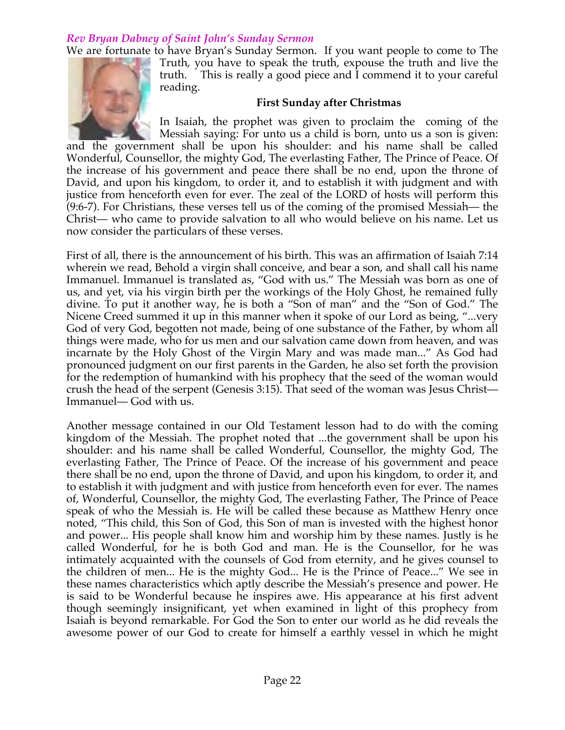# *Rev Bryan Dabney of Saint John's Sunday Sermon*

We are fortunate to have Bryan's Sunday Sermon. If you want people to come to The



Truth, you have to speak the truth, expouse the truth and live the truth. This is really a good piece and I commend it to your careful reading.

#### **First Sunday after Christmas**

In Isaiah, the prophet was given to proclaim the coming of the Messiah saying: For unto us a child is born, unto us a son is given:

and the government shall be upon his shoulder: and his name shall be called Wonderful, Counsellor, the mighty God, The everlasting Father, The Prince of Peace. Of the increase of his government and peace there shall be no end, upon the throne of David, and upon his kingdom, to order it, and to establish it with judgment and with justice from henceforth even for ever. The zeal of the LORD of hosts will perform this (9:6-7). For Christians, these verses tell us of the coming of the promised Messiah— the Christ— who came to provide salvation to all who would believe on his name. Let us now consider the particulars of these verses.

First of all, there is the announcement of his birth. This was an affirmation of Isaiah 7:14 wherein we read, Behold a virgin shall conceive, and bear a son, and shall call his name Immanuel. Immanuel is translated as, "God with us." The Messiah was born as one of us, and yet, via his virgin birth per the workings of the Holy Ghost, he remained fully divine. To put it another way, he is both a "Son of man" and the "Son of God." The Nicene Creed summed it up in this manner when it spoke of our Lord as being, "...very God of very God, begotten not made, being of one substance of the Father, by whom all things were made, who for us men and our salvation came down from heaven, and was incarnate by the Holy Ghost of the Virgin Mary and was made man..." As God had pronounced judgment on our first parents in the Garden, he also set forth the provision for the redemption of humankind with his prophecy that the seed of the woman would crush the head of the serpent (Genesis 3:15). That seed of the woman was Jesus Christ— Immanuel— God with us.

Another message contained in our Old Testament lesson had to do with the coming kingdom of the Messiah. The prophet noted that ...the government shall be upon his shoulder: and his name shall be called Wonderful, Counsellor, the mighty God, The everlasting Father, The Prince of Peace. Of the increase of his government and peace there shall be no end, upon the throne of David, and upon his kingdom, to order it, and to establish it with judgment and with justice from henceforth even for ever. The names of, Wonderful, Counsellor, the mighty God, The everlasting Father, The Prince of Peace speak of who the Messiah is. He will be called these because as Matthew Henry once noted, "This child, this Son of God, this Son of man is invested with the highest honor and power... His people shall know him and worship him by these names. Justly is he called Wonderful, for he is both God and man. He is the Counsellor, for he was intimately acquainted with the counsels of God from eternity, and he gives counsel to the children of men... He is the mighty God... He is the Prince of Peace..." We see in these names characteristics which aptly describe the Messiah's presence and power. He is said to be Wonderful because he inspires awe. His appearance at his first advent though seemingly insignificant, yet when examined in light of this prophecy from Isaiah is beyond remarkable. For God the Son to enter our world as he did reveals the awesome power of our God to create for himself a earthly vessel in which he might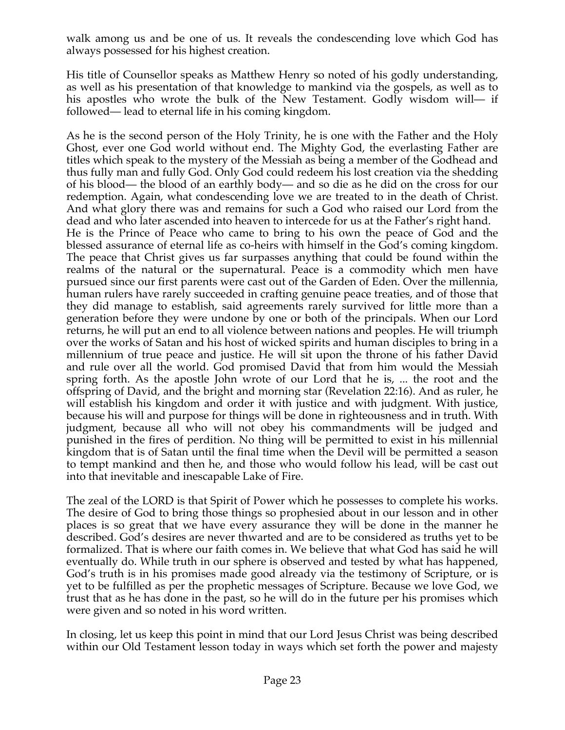walk among us and be one of us. It reveals the condescending love which God has always possessed for his highest creation.

His title of Counsellor speaks as Matthew Henry so noted of his godly understanding, as well as his presentation of that knowledge to mankind via the gospels, as well as to his apostles who wrote the bulk of the New Testament. Godly wisdom will— if followed— lead to eternal life in his coming kingdom.

As he is the second person of the Holy Trinity, he is one with the Father and the Holy Ghost, ever one God world without end. The Mighty God, the everlasting Father are titles which speak to the mystery of the Messiah as being a member of the Godhead and thus fully man and fully God. Only God could redeem his lost creation via the shedding of his blood— the blood of an earthly body— and so die as he did on the cross for our redemption. Again, what condescending love we are treated to in the death of Christ. And what glory there was and remains for such a God who raised our Lord from the dead and who later ascended into heaven to intercede for us at the Father's right hand. He is the Prince of Peace who came to bring to his own the peace of God and the blessed assurance of eternal life as co-heirs with himself in the God's coming kingdom. The peace that Christ gives us far surpasses anything that could be found within the realms of the natural or the supernatural. Peace is a commodity which men have pursued since our first parents were cast out of the Garden of Eden. Over the millennia, human rulers have rarely succeeded in crafting genuine peace treaties, and of those that they did manage to establish, said agreements rarely survived for little more than a generation before they were undone by one or both of the principals. When our Lord returns, he will put an end to all violence between nations and peoples. He will triumph over the works of Satan and his host of wicked spirits and human disciples to bring in a millennium of true peace and justice. He will sit upon the throne of his father David and rule over all the world. God promised David that from him would the Messiah spring forth. As the apostle John wrote of our Lord that he is, ... the root and the offspring of David, and the bright and morning star (Revelation 22:16). And as ruler, he will establish his kingdom and order it with justice and with judgment. With justice, because his will and purpose for things will be done in righteousness and in truth. With judgment, because all who will not obey his commandments will be judged and punished in the fires of perdition. No thing will be permitted to exist in his millennial kingdom that is of Satan until the final time when the Devil will be permitted a season to tempt mankind and then he, and those who would follow his lead, will be cast out into that inevitable and inescapable Lake of Fire.

The zeal of the LORD is that Spirit of Power which he possesses to complete his works. The desire of God to bring those things so prophesied about in our lesson and in other places is so great that we have every assurance they will be done in the manner he described. God's desires are never thwarted and are to be considered as truths yet to be formalized. That is where our faith comes in. We believe that what God has said he will eventually do. While truth in our sphere is observed and tested by what has happened, God's truth is in his promises made good already via the testimony of Scripture, or is yet to be fulfilled as per the prophetic messages of Scripture. Because we love God, we trust that as he has done in the past, so he will do in the future per his promises which were given and so noted in his word written.

In closing, let us keep this point in mind that our Lord Jesus Christ was being described within our Old Testament lesson today in ways which set forth the power and majesty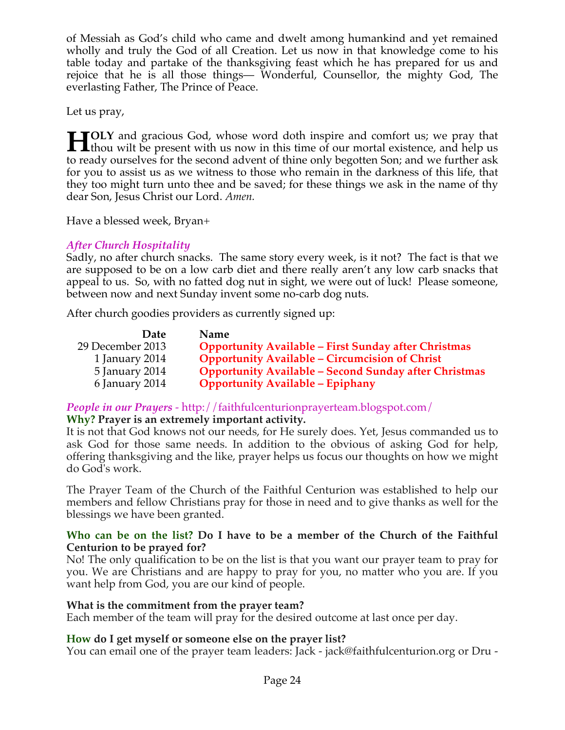of Messiah as God's child who came and dwelt among humankind and yet remained wholly and truly the God of all Creation. Let us now in that knowledge come to his table today and partake of the thanksgiving feast which he has prepared for us and rejoice that he is all those things— Wonderful, Counsellor, the mighty God, The everlasting Father, The Prince of Peace.

Let us pray,

**TOLY** and gracious God, whose word doth inspire and comfort us; we pray that **the H** TOLY and gracious God, whose word doth inspire and comfort us; we pray that thou wilt be present with us now in this time of our mortal existence, and help us the model with the state of the state of the state of t to ready ourselves for the second advent of thine only begotten Son; and we further ask for you to assist us as we witness to those who remain in the darkness of this life, that they too might turn unto thee and be saved; for these things we ask in the name of thy dear Son, Jesus Christ our Lord. *Amen.*

Have a blessed week, Bryan+

# *After Church Hospitality*

Sadly, no after church snacks. The same story every week, is it not? The fact is that we are supposed to be on a low carb diet and there really aren't any low carb snacks that appeal to us. So, with no fatted dog nut in sight, we were out of luck! Please someone, between now and next Sunday invent some no-carb dog nuts.

After church goodies providers as currently signed up:

| Date             | <b>Name</b>                                                  |
|------------------|--------------------------------------------------------------|
| 29 December 2013 | <b>Opportunity Available - First Sunday after Christmas</b>  |
| 1 January 2014   | <b>Opportunity Available - Circumcision of Christ</b>        |
| 5 January 2014   | <b>Opportunity Available – Second Sunday after Christmas</b> |
| 6 January 2014   | <b>Opportunity Available - Epiphany</b>                      |

*People in our Prayers* - http://faithfulcenturionprayerteam.blogspot.com/ **Why? Prayer is an extremely important activity.**

It is not that God knows not our needs, for He surely does. Yet, Jesus commanded us to ask God for those same needs. In addition to the obvious of asking God for help, offering thanksgiving and the like, prayer helps us focus our thoughts on how we might do God's work.

The Prayer Team of the Church of the Faithful Centurion was established to help our members and fellow Christians pray for those in need and to give thanks as well for the blessings we have been granted.

#### **Who can be on the list? Do I have to be a member of the Church of the Faithful Centurion to be prayed for?**

No! The only qualification to be on the list is that you want our prayer team to pray for you. We are Christians and are happy to pray for you, no matter who you are. If you want help from God, you are our kind of people.

# **What is the commitment from the prayer team?**

Each member of the team will pray for the desired outcome at last once per day.

# **How do I get myself or someone else on the prayer list?**

You can email one of the prayer team leaders: Jack - jack@faithfulcenturion.org or Dru -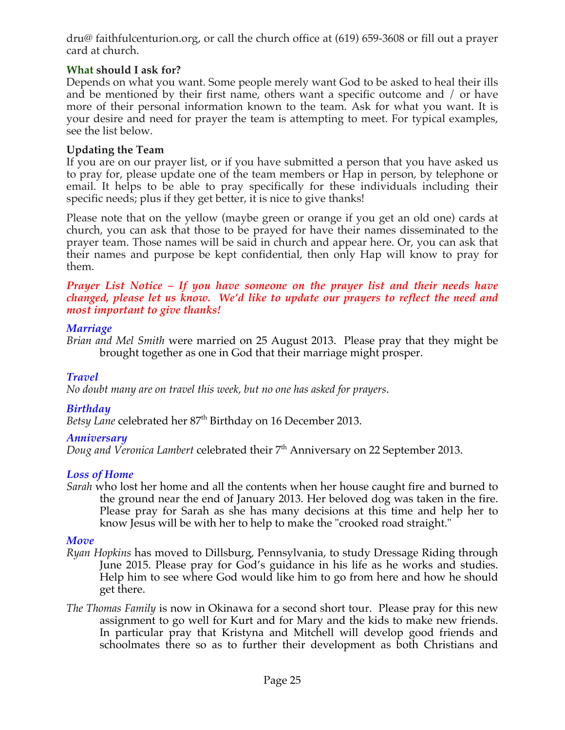dru@ faithfulcenturion.org, or call the church office at (619) 659-3608 or fill out a prayer card at church.

# **What should I ask for?**

Depends on what you want. Some people merely want God to be asked to heal their ills and be mentioned by their first name, others want a specific outcome and / or have more of their personal information known to the team. Ask for what you want. It is your desire and need for prayer the team is attempting to meet. For typical examples, see the list below.

# **Updating the Team**

If you are on our prayer list, or if you have submitted a person that you have asked us to pray for, please update one of the team members or Hap in person, by telephone or email. It helps to be able to pray specifically for these individuals including their specific needs; plus if they get better, it is nice to give thanks!

Please note that on the yellow (maybe green or orange if you get an old one) cards at church, you can ask that those to be prayed for have their names disseminated to the prayer team. Those names will be said in church and appear here. Or, you can ask that their names and purpose be kept confidential, then only Hap will know to pray for them.

#### *Prayer List Notice – If you have someone on the prayer list and their needs have changed, please let us know. We'd like to update our prayers to reflect the need and most important to give thanks!*

#### *Marriage*

*Brian and Mel Smith* were married on 25 August 2013. Please pray that they might be brought together as one in God that their marriage might prosper.

# *Travel*

*No doubt many are on travel this week, but no one has asked for prayers*.

# *Birthday*

Betsy Lane celebrated her 87<sup>th</sup> Birthday on 16 December 2013.

#### *Anniversary*

*Doug and Veronica Lambert celebrated their* 7<sup>th</sup> Anniversary on 22 September 2013.

# *Loss of Home*

*Sarah* who lost her home and all the contents when her house caught fire and burned to the ground near the end of January 2013. Her beloved dog was taken in the fire. Please pray for Sarah as she has many decisions at this time and help her to know Jesus will be with her to help to make the "crooked road straight."

#### *Move*

- *Ryan Hopkins* has moved to Dillsburg, Pennsylvania, to study Dressage Riding through June 2015. Please pray for God's guidance in his life as he works and studies. Help him to see where God would like him to go from here and how he should get there.
- *The Thomas Family* is now in Okinawa for a second short tour. Please pray for this new assignment to go well for Kurt and for Mary and the kids to make new friends. In particular pray that Kristyna and Mitchell will develop good friends and schoolmates there so as to further their development as both Christians and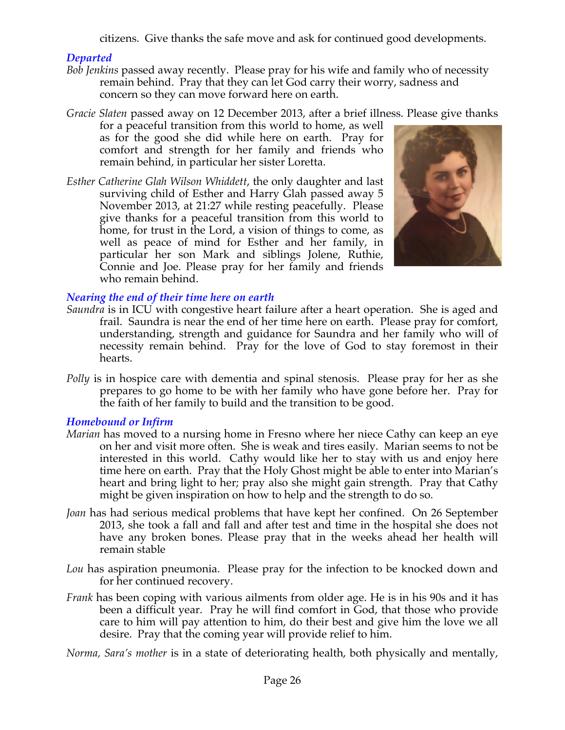citizens. Give thanks the safe move and ask for continued good developments.

## *Departed*

- *Bob Jenkins* passed away recently. Please pray for his wife and family who of necessity remain behind. Pray that they can let God carry their worry, sadness and concern so they can move forward here on earth.
- *Gracie Slaten* passed away on 12 December 2013, after a brief illness. Please give thanks for a peaceful transition from this world to home, as well as for the good she did while here on earth. Pray for

comfort and strength for her family and friends who remain behind, in particular her sister Loretta.

*Esther Catherine Glah Wilson Whiddett*, the only daughter and last surviving child of Esther and Harry Glah passed away 5 November 2013, at 21:27 while resting peacefully. Please give thanks for a peaceful transition from this world to home, for trust in the Lord, a vision of things to come, as well as peace of mind for Esther and her family, in particular her son Mark and siblings Jolene, Ruthie, Connie and Joe. Please pray for her family and friends who remain behind.



# *Nearing the end of their time here on earth*

- *Saundra* is in ICU with congestive heart failure after a heart operation. She is aged and frail. Saundra is near the end of her time here on earth. Please pray for comfort, understanding, strength and guidance for Saundra and her family who will of necessity remain behind. Pray for the love of God to stay foremost in their hearts.
- *Polly* is in hospice care with dementia and spinal stenosis. Please pray for her as she prepares to go home to be with her family who have gone before her. Pray for the faith of her family to build and the transition to be good.

# *Homebound or Infirm*

- *Marian* has moved to a nursing home in Fresno where her niece Cathy can keep an eye on her and visit more often. She is weak and tires easily. Marian seems to not be interested in this world. Cathy would like her to stay with us and enjoy here time here on earth. Pray that the Holy Ghost might be able to enter into Marian's heart and bring light to her; pray also she might gain strength. Pray that Cathy might be given inspiration on how to help and the strength to do so.
- *Joan* has had serious medical problems that have kept her confined. On 26 September 2013, she took a fall and fall and after test and time in the hospital she does not have any broken bones. Please pray that in the weeks ahead her health will remain stable
- *Lou* has aspiration pneumonia. Please pray for the infection to be knocked down and for her continued recovery.
- *Frank* has been coping with various ailments from older age. He is in his 90s and it has been a difficult year. Pray he will find comfort in God, that those who provide care to him will pay attention to him, do their best and give him the love we all desire. Pray that the coming year will provide relief to him.

*Norma, Sara's mother* is in a state of deteriorating health, both physically and mentally,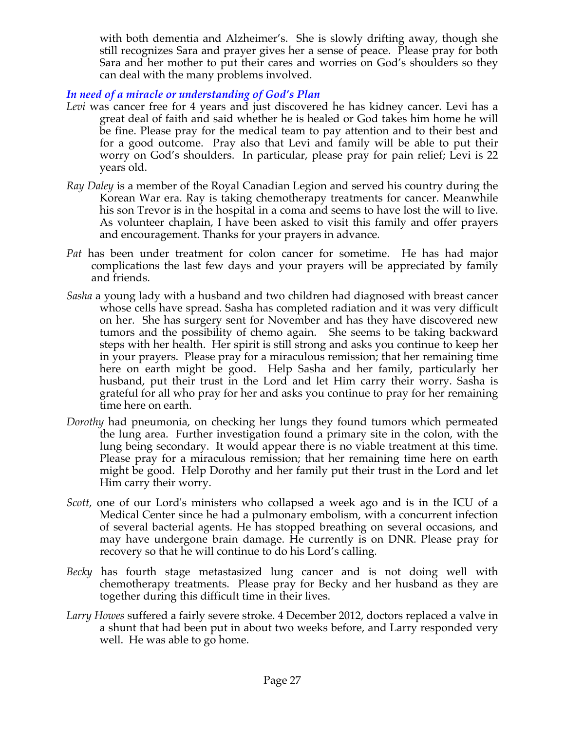with both dementia and Alzheimer's. She is slowly drifting away, though she still recognizes Sara and prayer gives her a sense of peace. Please pray for both Sara and her mother to put their cares and worries on God's shoulders so they can deal with the many problems involved.

# *In need of a miracle or understanding of God's Plan*

- Levi was cancer free for 4 years and just discovered he has kidney cancer. Levi has a great deal of faith and said whether he is healed or God takes him home he will be fine. Please pray for the medical team to pay attention and to their best and for a good outcome. Pray also that Levi and family will be able to put their worry on God's shoulders. In particular, please pray for pain relief; Levi is 22 years old.
- *Ray Daley* is a member of the Royal Canadian Legion and served his country during the Korean War era. Ray is taking chemotherapy treatments for cancer. Meanwhile his son Trevor is in the hospital in a coma and seems to have lost the will to live. As volunteer chaplain, I have been asked to visit this family and offer prayers and encouragement. Thanks for your prayers in advance*.*
- *Pat* has been under treatment for colon cancer for sometime. He has had major complications the last few days and your prayers will be appreciated by family and friends.
- *Sasha* a young lady with a husband and two children had diagnosed with breast cancer whose cells have spread. Sasha has completed radiation and it was very difficult on her. She has surgery sent for November and has they have discovered new tumors and the possibility of chemo again. She seems to be taking backward steps with her health. Her spirit is still strong and asks you continue to keep her in your prayers. Please pray for a miraculous remission; that her remaining time here on earth might be good. Help Sasha and her family, particularly her husband, put their trust in the Lord and let Him carry their worry. Sasha is grateful for all who pray for her and asks you continue to pray for her remaining time here on earth.
- *Dorothy* had pneumonia, on checking her lungs they found tumors which permeated the lung area. Further investigation found a primary site in the colon, with the lung being secondary. It would appear there is no viable treatment at this time. Please pray for a miraculous remission; that her remaining time here on earth might be good. Help Dorothy and her family put their trust in the Lord and let Him carry their worry.
- *Scott,* one of our Lord's ministers who collapsed a week ago and is in the ICU of a Medical Center since he had a pulmonary embolism, with a concurrent infection of several bacterial agents. He has stopped breathing on several occasions, and may have undergone brain damage. He currently is on DNR. Please pray for recovery so that he will continue to do his Lord's calling*.*
- *Becky* has fourth stage metastasized lung cancer and is not doing well with chemotherapy treatments. Please pray for Becky and her husband as they are together during this difficult time in their lives.
- *Larry Howes* suffered a fairly severe stroke. 4 December 2012, doctors replaced a valve in a shunt that had been put in about two weeks before, and Larry responded very well. He was able to go home.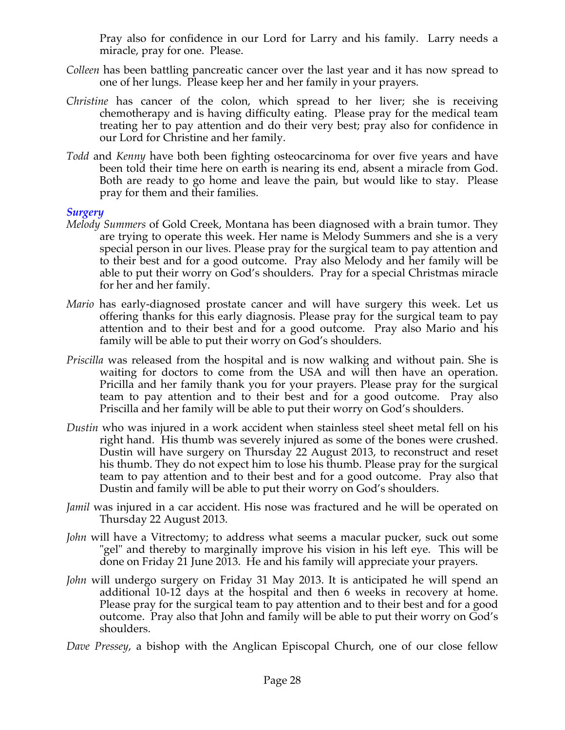Pray also for confidence in our Lord for Larry and his family. Larry needs a miracle, pray for one. Please.

- *Colleen* has been battling pancreatic cancer over the last year and it has now spread to one of her lungs. Please keep her and her family in your prayers.
- *Christine* has cancer of the colon, which spread to her liver; she is receiving chemotherapy and is having difficulty eating. Please pray for the medical team treating her to pay attention and do their very best; pray also for confidence in our Lord for Christine and her family.
- *Todd* and *Kenny* have both been fighting osteocarcinoma for over five years and have been told their time here on earth is nearing its end, absent a miracle from God. Both are ready to go home and leave the pain, but would like to stay. Please pray for them and their families.

#### *Surgery*

- *Melody Summers* of Gold Creek, Montana has been diagnosed with a brain tumor. They are trying to operate this week. Her name is Melody Summers and she is a very special person in our lives. Please pray for the surgical team to pay attention and to their best and for a good outcome. Pray also Melody and her family will be able to put their worry on God's shoulders. Pray for a special Christmas miracle for her and her family.
- *Mario* has early-diagnosed prostate cancer and will have surgery this week. Let us offering thanks for this early diagnosis. Please pray for the surgical team to pay attention and to their best and for a good outcome. Pray also Mario and his family will be able to put their worry on God's shoulders.
- *Priscilla* was released from the hospital and is now walking and without pain. She is waiting for doctors to come from the USA and will then have an operation. Pricilla and her family thank you for your prayers. Please pray for the surgical team to pay attention and to their best and for a good outcome. Pray also Priscilla and her family will be able to put their worry on God's shoulders.
- *Dustin* who was injured in a work accident when stainless steel sheet metal fell on his right hand. His thumb was severely injured as some of the bones were crushed. Dustin will have surgery on Thursday 22 August 2013, to reconstruct and reset his thumb. They do not expect him to lose his thumb. Please pray for the surgical team to pay attention and to their best and for a good outcome. Pray also that Dustin and family will be able to put their worry on God's shoulders.
- *Jamil* was injured in a car accident. His nose was fractured and he will be operated on Thursday 22 August 2013.
- *John* will have a Vitrectomy; to address what seems a macular pucker, suck out some "gel" and thereby to marginally improve his vision in his left eye. This will be done on Friday 21 June 2013. He and his family will appreciate your prayers.
- *John* will undergo surgery on Friday 31 May 2013. It is anticipated he will spend an additional 10-12 days at the hospital and then 6 weeks in recovery at home. Please pray for the surgical team to pay attention and to their best and for a good outcome. Pray also that John and family will be able to put their worry on God's shoulders.
- *Dave Pressey*, a bishop with the Anglican Episcopal Church, one of our close fellow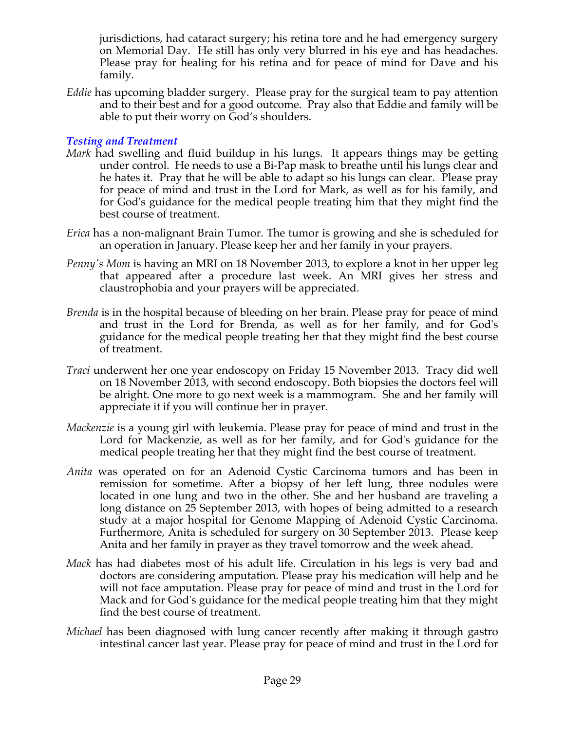jurisdictions, had cataract surgery; his retina tore and he had emergency surgery on Memorial Day. He still has only very blurred in his eye and has headaches. Please pray for healing for his retina and for peace of mind for Dave and his family.

*Eddie* has upcoming bladder surgery. Please pray for the surgical team to pay attention and to their best and for a good outcome. Pray also that Eddie and family will be able to put their worry on God's shoulders.

## *Testing and Treatment*

- *Mark* had swelling and fluid buildup in his lungs. It appears things may be getting under control. He needs to use a Bi-Pap mask to breathe until his lungs clear and he hates it. Pray that he will be able to adapt so his lungs can clear. Please pray for peace of mind and trust in the Lord for Mark, as well as for his family, and for God's guidance for the medical people treating him that they might find the best course of treatment.
- *Erica* has a non-malignant Brain Tumor. The tumor is growing and she is scheduled for an operation in January. Please keep her and her family in your prayers.
- *Penny's Mom is having an MRI on 18 November 2013, to explore a knot in her upper leg* that appeared after a procedure last week. An MRI gives her stress and claustrophobia and your prayers will be appreciated.
- *Brenda* is in the hospital because of bleeding on her brain. Please pray for peace of mind and trust in the Lord for Brenda, as well as for her family, and for God's guidance for the medical people treating her that they might find the best course of treatment.
- *Traci* underwent her one year endoscopy on Friday 15 November 2013. Tracy did well on 18 November 2013, with second endoscopy. Both biopsies the doctors feel will be alright. One more to go next week is a mammogram. She and her family will appreciate it if you will continue her in prayer.
- *Mackenzie* is a young girl with leukemia. Please pray for peace of mind and trust in the Lord for Mackenzie, as well as for her family, and for God's guidance for the medical people treating her that they might find the best course of treatment.
- *Anita* was operated on for an Adenoid Cystic Carcinoma tumors and has been in remission for sometime. After a biopsy of her left lung, three nodules were located in one lung and two in the other. She and her husband are traveling a long distance on 25 September 2013, with hopes of being admitted to a research study at a major hospital for Genome Mapping of Adenoid Cystic Carcinoma. Furthermore, Anita is scheduled for surgery on 30 September 2013. Please keep Anita and her family in prayer as they travel tomorrow and the week ahead.
- *Mack* has had diabetes most of his adult life. Circulation in his legs is very bad and doctors are considering amputation. Please pray his medication will help and he will not face amputation. Please pray for peace of mind and trust in the Lord for Mack and for God's guidance for the medical people treating him that they might find the best course of treatment.
- *Michael* has been diagnosed with lung cancer recently after making it through gastro intestinal cancer last year. Please pray for peace of mind and trust in the Lord for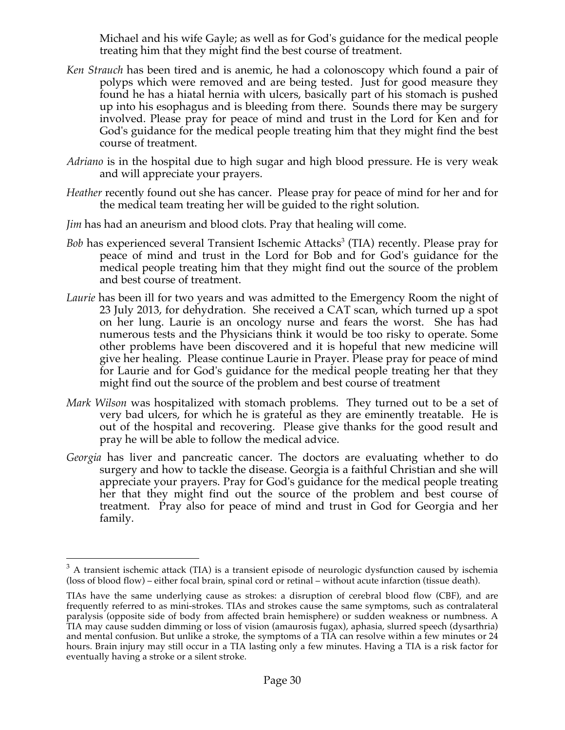Michael and his wife Gayle; as well as for God's guidance for the medical people treating him that they might find the best course of treatment.

- *Ken Strauch* has been tired and is anemic, he had a colonoscopy which found a pair of polyps which were removed and are being tested. Just for good measure they found he has a hiatal hernia with ulcers, basically part of his stomach is pushed up into his esophagus and is bleeding from there. Sounds there may be surgery involved. Please pray for peace of mind and trust in the Lord for Ken and for God's guidance for the medical people treating him that they might find the best course of treatment.
- *Adriano* is in the hospital due to high sugar and high blood pressure. He is very weak and will appreciate your prayers.
- *Heather* recently found out she has cancer. Please pray for peace of mind for her and for the medical team treating her will be guided to the right solution.
- *Jim* has had an aneurism and blood clots. Pray that healing will come.
- *Bob* has experienced several Transient Ischemic Attacks<sup>3</sup> (TIA) recently. Please pray for peace of mind and trust in the Lord for Bob and for God's guidance for the medical people treating him that they might find out the source of the problem and best course of treatment.
- *Laurie* has been ill for two years and was admitted to the Emergency Room the night of 23 July 2013, for dehydration. She received a CAT scan, which turned up a spot on her lung. Laurie is an oncology nurse and fears the worst. She has had numerous tests and the Physicians think it would be too risky to operate. Some other problems have been discovered and it is hopeful that new medicine will give her healing. Please continue Laurie in Prayer. Please pray for peace of mind for Laurie and for God's guidance for the medical people treating her that they might find out the source of the problem and best course of treatment
- *Mark Wilson* was hospitalized with stomach problems. They turned out to be a set of very bad ulcers, for which he is grateful as they are eminently treatable. He is out of the hospital and recovering. Please give thanks for the good result and pray he will be able to follow the medical advice.
- *Georgia* has liver and pancreatic cancer. The doctors are evaluating whether to do surgery and how to tackle the disease. Georgia is a faithful Christian and she will appreciate your prayers. Pray for God's guidance for the medical people treating her that they might find out the source of the problem and best course of treatment. Pray also for peace of mind and trust in God for Georgia and her family.

 $3$  A transient ischemic attack (TIA) is a transient episode of neurologic dysfunction caused by ischemia (loss of blood flow) – either focal brain, spinal cord or retinal – without acute infarction (tissue death).

TIAs have the same underlying cause as strokes: a disruption of cerebral blood flow (CBF), and are frequently referred to as mini-strokes. TIAs and strokes cause the same symptoms, such as contralateral paralysis (opposite side of body from affected brain hemisphere) or sudden weakness or numbness. A TIA may cause sudden dimming or loss of vision (amaurosis fugax), aphasia, slurred speech (dysarthria) and mental confusion. But unlike a stroke, the symptoms of a TIA can resolve within a few minutes or 24 hours. Brain injury may still occur in a TIA lasting only a few minutes. Having a TIA is a risk factor for eventually having a stroke or a silent stroke.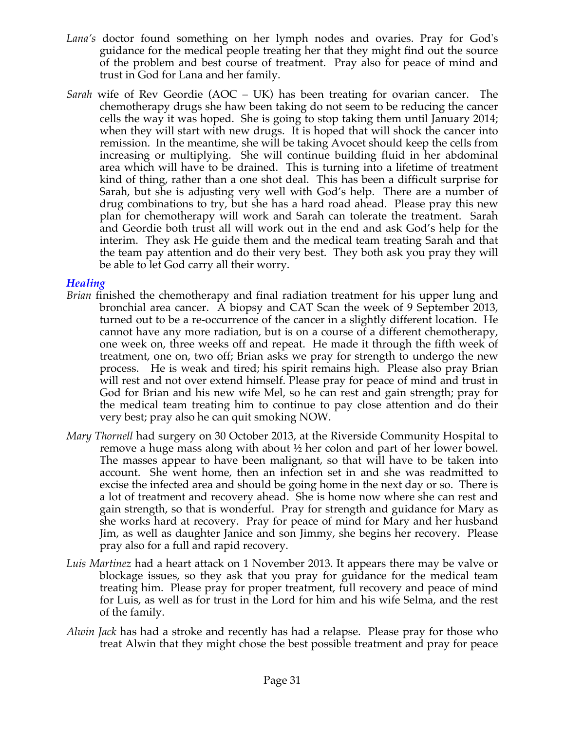- *Lana's* doctor found something on her lymph nodes and ovaries. Pray for God's guidance for the medical people treating her that they might find out the source of the problem and best course of treatment. Pray also for peace of mind and trust in God for Lana and her family.
- *Sarah* wife of Rev Geordie (AOC UK) has been treating for ovarian cancer. The chemotherapy drugs she haw been taking do not seem to be reducing the cancer cells the way it was hoped. She is going to stop taking them until January 2014; when they will start with new drugs. It is hoped that will shock the cancer into remission. In the meantime, she will be taking Avocet should keep the cells from increasing or multiplying. She will continue building fluid in her abdominal area which will have to be drained. This is turning into a lifetime of treatment kind of thing, rather than a one shot deal. This has been a difficult surprise for Sarah, but she is adjusting very well with God's help. There are a number of drug combinations to try, but she has a hard road ahead. Please pray this new plan for chemotherapy will work and Sarah can tolerate the treatment. Sarah and Geordie both trust all will work out in the end and ask God's help for the interim. They ask He guide them and the medical team treating Sarah and that the team pay attention and do their very best. They both ask you pray they will be able to let God carry all their worry.

## *Healing*

- *Brian* finished the chemotherapy and final radiation treatment for his upper lung and bronchial area cancer. A biopsy and CAT Scan the week of 9 September 2013, turned out to be a re-occurrence of the cancer in a slightly different location. He cannot have any more radiation, but is on a course of a different chemotherapy, one week on, three weeks off and repeat. He made it through the fifth week of treatment, one on, two off; Brian asks we pray for strength to undergo the new process. He is weak and tired; his spirit remains high. Please also pray Brian will rest and not over extend himself. Please pray for peace of mind and trust in God for Brian and his new wife Mel, so he can rest and gain strength; pray for the medical team treating him to continue to pay close attention and do their very best; pray also he can quit smoking NOW.
- *Mary Thornell* had surgery on 30 October 2013, at the Riverside Community Hospital to remove a huge mass along with about ½ her colon and part of her lower bowel. The masses appear to have been malignant, so that will have to be taken into account. She went home, then an infection set in and she was readmitted to excise the infected area and should be going home in the next day or so. There is a lot of treatment and recovery ahead. She is home now where she can rest and gain strength, so that is wonderful. Pray for strength and guidance for Mary as she works hard at recovery. Pray for peace of mind for Mary and her husband Jim, as well as daughter Janice and son Jimmy, she begins her recovery. Please pray also for a full and rapid recovery.
- *Luis Martinez* had a heart attack on 1 November 2013. It appears there may be valve or blockage issues, so they ask that you pray for guidance for the medical team treating him. Please pray for proper treatment, full recovery and peace of mind for Luis, as well as for trust in the Lord for him and his wife Selma, and the rest of the family.
- *Alwin Jack* has had a stroke and recently has had a relapse. Please pray for those who treat Alwin that they might chose the best possible treatment and pray for peace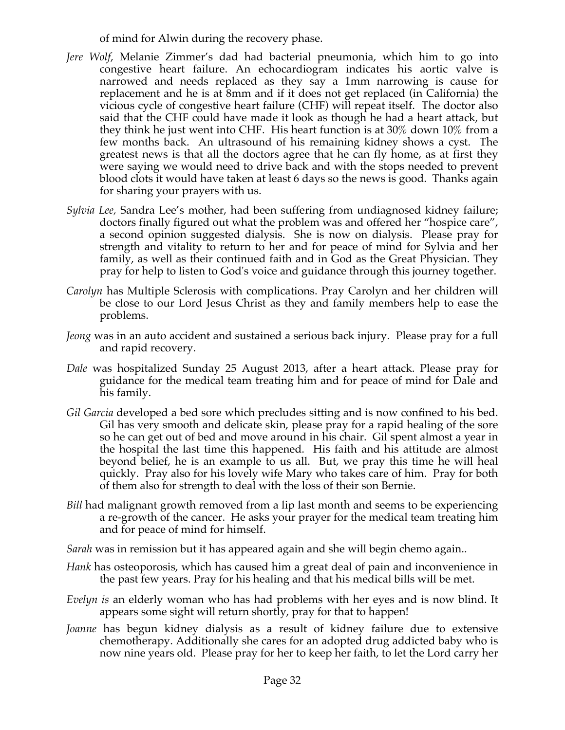of mind for Alwin during the recovery phase.

- *Jere Wolf*, Melanie Zimmer's dad had bacterial pneumonia, which him to go into congestive heart failure. An echocardiogram indicates his aortic valve is narrowed and needs replaced as they say a 1mm narrowing is cause for replacement and he is at 8mm and if it does not get replaced (in California) the vicious cycle of congestive heart failure (CHF) will repeat itself. The doctor also said that the CHF could have made it look as though he had a heart attack, but they think he just went into CHF. His heart function is at 30% down 10% from a few months back. An ultrasound of his remaining kidney shows a cyst. The greatest news is that all the doctors agree that he can fly home, as at first they were saying we would need to drive back and with the stops needed to prevent blood clots it would have taken at least 6 days so the news is good. Thanks again for sharing your prayers with us.
- *Sylvia Lee,* Sandra Lee's mother, had been suffering from undiagnosed kidney failure; doctors finally figured out what the problem was and offered her "hospice care", a second opinion suggested dialysis. She is now on dialysis. Please pray for strength and vitality to return to her and for peace of mind for Sylvia and her family, as well as their continued faith and in God as the Great Physician. They pray for help to listen to God's voice and guidance through this journey together.
- *Carolyn* has Multiple Sclerosis with complications. Pray Carolyn and her children will be close to our Lord Jesus Christ as they and family members help to ease the problems.
- *Jeong* was in an auto accident and sustained a serious back injury. Please pray for a full and rapid recovery.
- *Dale* was hospitalized Sunday 25 August 2013, after a heart attack. Please pray for guidance for the medical team treating him and for peace of mind for Dale and his family.
- *Gil Garcia* developed a bed sore which precludes sitting and is now confined to his bed. Gil has very smooth and delicate skin, please pray for a rapid healing of the sore so he can get out of bed and move around in his chair. Gil spent almost a year in the hospital the last time this happened. His faith and his attitude are almost beyond belief, he is an example to us all. But, we pray this time he will heal quickly. Pray also for his lovely wife Mary who takes care of him. Pray for both of them also for strength to deal with the loss of their son Bernie.
- *Bill* had malignant growth removed from a lip last month and seems to be experiencing a re-growth of the cancer. He asks your prayer for the medical team treating him and for peace of mind for himself.
- *Sarah* was in remission but it has appeared again and she will begin chemo again..
- *Hank* has osteoporosis, which has caused him a great deal of pain and inconvenience in the past few years. Pray for his healing and that his medical bills will be met.
- *Evelyn is* an elderly woman who has had problems with her eyes and is now blind. It appears some sight will return shortly, pray for that to happen!
- *Joanne* has begun kidney dialysis as a result of kidney failure due to extensive chemotherapy. Additionally she cares for an adopted drug addicted baby who is now nine years old. Please pray for her to keep her faith, to let the Lord carry her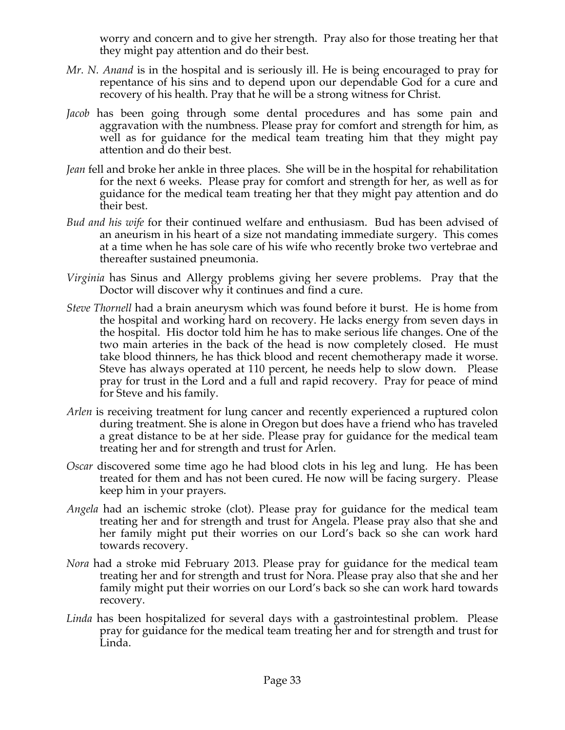worry and concern and to give her strength. Pray also for those treating her that they might pay attention and do their best.

- *Mr. N. Anand* is in the hospital and is seriously ill. He is being encouraged to pray for repentance of his sins and to depend upon our dependable God for a cure and recovery of his health. Pray that he will be a strong witness for Christ.
- *Jacob* has been going through some dental procedures and has some pain and aggravation with the numbness. Please pray for comfort and strength for him, as well as for guidance for the medical team treating him that they might pay attention and do their best.
- *Jean* fell and broke her ankle in three places. She will be in the hospital for rehabilitation for the next 6 weeks. Please pray for comfort and strength for her, as well as for guidance for the medical team treating her that they might pay attention and do their best.
- *Bud and his wife* for their continued welfare and enthusiasm. Bud has been advised of an aneurism in his heart of a size not mandating immediate surgery. This comes at a time when he has sole care of his wife who recently broke two vertebrae and thereafter sustained pneumonia.
- *Virginia* has Sinus and Allergy problems giving her severe problems. Pray that the Doctor will discover why it continues and find a cure.
- *Steve Thornell* had a brain aneurysm which was found before it burst. He is home from the hospital and working hard on recovery. He lacks energy from seven days in the hospital. His doctor told him he has to make serious life changes. One of the two main arteries in the back of the head is now completely closed. He must take blood thinners, he has thick blood and recent chemotherapy made it worse. Steve has always operated at 110 percent, he needs help to slow down. Please pray for trust in the Lord and a full and rapid recovery. Pray for peace of mind for Steve and his family.
- *Arlen* is receiving treatment for lung cancer and recently experienced a ruptured colon during treatment. She is alone in Oregon but does have a friend who has traveled a great distance to be at her side. Please pray for guidance for the medical team treating her and for strength and trust for Arlen.
- *Oscar* discovered some time ago he had blood clots in his leg and lung. He has been treated for them and has not been cured. He now will be facing surgery. Please keep him in your prayers.
- *Angela* had an ischemic stroke (clot). Please pray for guidance for the medical team treating her and for strength and trust for Angela. Please pray also that she and her family might put their worries on our Lord's back so she can work hard towards recovery.
- *Nora* had a stroke mid February 2013. Please pray for guidance for the medical team treating her and for strength and trust for Nora. Please pray also that she and her family might put their worries on our Lord's back so she can work hard towards recovery.
- *Linda* has been hospitalized for several days with a gastrointestinal problem. Please pray for guidance for the medical team treating her and for strength and trust for Linda.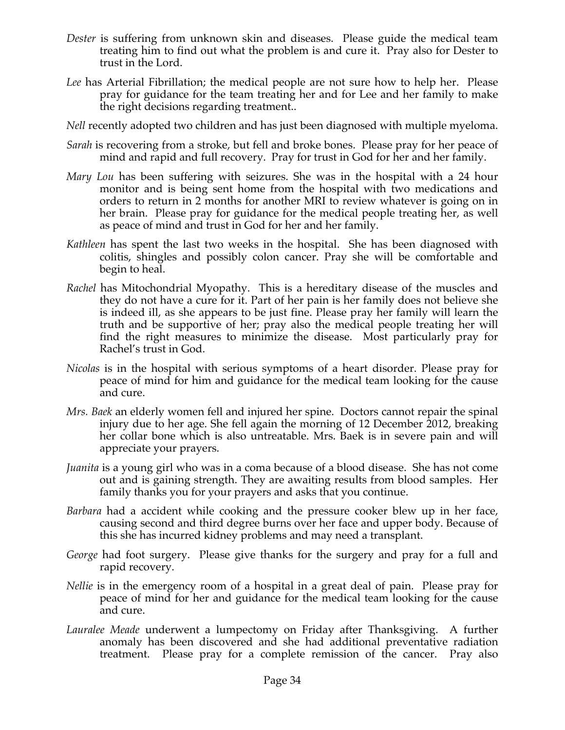- *Dester* is suffering from unknown skin and diseases. Please guide the medical team treating him to find out what the problem is and cure it. Pray also for Dester to trust in the Lord.
- *Lee* has Arterial Fibrillation; the medical people are not sure how to help her. Please pray for guidance for the team treating her and for Lee and her family to make the right decisions regarding treatment..
- *Nell* recently adopted two children and has just been diagnosed with multiple myeloma.
- *Sarah* is recovering from a stroke, but fell and broke bones. Please pray for her peace of mind and rapid and full recovery. Pray for trust in God for her and her family.
- *Mary Lou* has been suffering with seizures. She was in the hospital with a 24 hour monitor and is being sent home from the hospital with two medications and orders to return in 2 months for another MRI to review whatever is going on in her brain. Please pray for guidance for the medical people treating her, as well as peace of mind and trust in God for her and her family.
- *Kathleen* has spent the last two weeks in the hospital. She has been diagnosed with colitis, shingles and possibly colon cancer. Pray she will be comfortable and begin to heal.
- *Rachel* has Mitochondrial Myopathy. This is a hereditary disease of the muscles and they do not have a cure for it. Part of her pain is her family does not believe she is indeed ill, as she appears to be just fine. Please pray her family will learn the truth and be supportive of her; pray also the medical people treating her will find the right measures to minimize the disease. Most particularly pray for Rachel's trust in God.
- *Nicolas* is in the hospital with serious symptoms of a heart disorder. Please pray for peace of mind for him and guidance for the medical team looking for the cause and cure.
- *Mrs. Baek* an elderly women fell and injured her spine. Doctors cannot repair the spinal injury due to her age. She fell again the morning of 12 December 2012, breaking her collar bone which is also untreatable. Mrs. Baek is in severe pain and will appreciate your prayers.
- *Juanita* is a young girl who was in a coma because of a blood disease. She has not come out and is gaining strength. They are awaiting results from blood samples. Her family thanks you for your prayers and asks that you continue.
- *Barbara* had a accident while cooking and the pressure cooker blew up in her face, causing second and third degree burns over her face and upper body. Because of this she has incurred kidney problems and may need a transplant.
- *George* had foot surgery. Please give thanks for the surgery and pray for a full and rapid recovery.
- *Nellie* is in the emergency room of a hospital in a great deal of pain. Please pray for peace of mind for her and guidance for the medical team looking for the cause and cure.
- *Lauralee Meade* underwent a lumpectomy on Friday after Thanksgiving. A further anomaly has been discovered and she had additional preventative radiation treatment. Please pray for a complete remission of the cancer. Pray also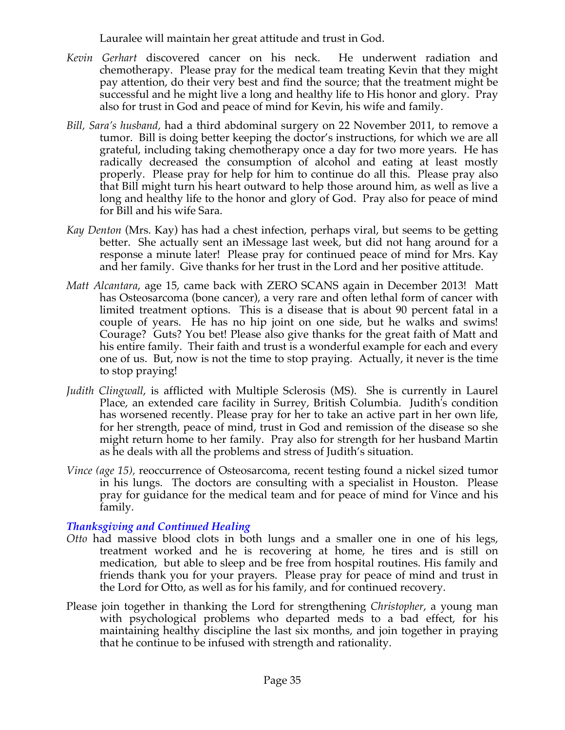Lauralee will maintain her great attitude and trust in God.

- *Kevin Gerhart* discovered cancer on his neck. He underwent radiation and chemotherapy. Please pray for the medical team treating Kevin that they might pay attention, do their very best and find the source; that the treatment might be successful and he might live a long and healthy life to His honor and glory. Pray also for trust in God and peace of mind for Kevin, his wife and family.
- *Bill, Sara's husband,* had a third abdominal surgery on 22 November 2011, to remove a tumor. Bill is doing better keeping the doctor's instructions, for which we are all grateful, including taking chemotherapy once a day for two more years. He has radically decreased the consumption of alcohol and eating at least mostly properly. Please pray for help for him to continue do all this. Please pray also that Bill might turn his heart outward to help those around him, as well as live a long and healthy life to the honor and glory of God. Pray also for peace of mind for Bill and his wife Sara.
- *Kay Denton* (Mrs. Kay) has had a chest infection, perhaps viral, but seems to be getting better. She actually sent an iMessage last week, but did not hang around for a response a minute later! Please pray for continued peace of mind for Mrs. Kay and her family. Give thanks for her trust in the Lord and her positive attitude.
- *Matt Alcantara*, age 15, came back with ZERO SCANS again in December 2013! Matt has Osteosarcoma (bone cancer), a very rare and often lethal form of cancer with limited treatment options. This is a disease that is about 90 percent fatal in a couple of years. He has no hip joint on one side, but he walks and swims! Courage? Guts? You bet! Please also give thanks for the great faith of Matt and his entire family. Their faith and trust is a wonderful example for each and every one of us. But, now is not the time to stop praying. Actually, it never is the time to stop praying!
- *Judith Clingwall*, is afflicted with Multiple Sclerosis (MS). She is currently in Laurel Place, an extended care facility in Surrey, British Columbia. Judith's condition has worsened recently. Please pray for her to take an active part in her own life, for her strength, peace of mind, trust in God and remission of the disease so she might return home to her family. Pray also for strength for her husband Martin as he deals with all the problems and stress of Judith's situation.
- *Vince (age 15),* reoccurrence of Osteosarcoma, recent testing found a nickel sized tumor in his lungs. The doctors are consulting with a specialist in Houston. Please pray for guidance for the medical team and for peace of mind for Vince and his family.

# *Thanksgiving and Continued Healing*

- *Otto* had massive blood clots in both lungs and a smaller one in one of his legs, treatment worked and he is recovering at home, he tires and is still on medication, but able to sleep and be free from hospital routines. His family and friends thank you for your prayers. Please pray for peace of mind and trust in the Lord for Otto, as well as for his family, and for continued recovery.
- Please join together in thanking the Lord for strengthening *Christopher*, a young man with psychological problems who departed meds to a bad effect, for his maintaining healthy discipline the last six months, and join together in praying that he continue to be infused with strength and rationality.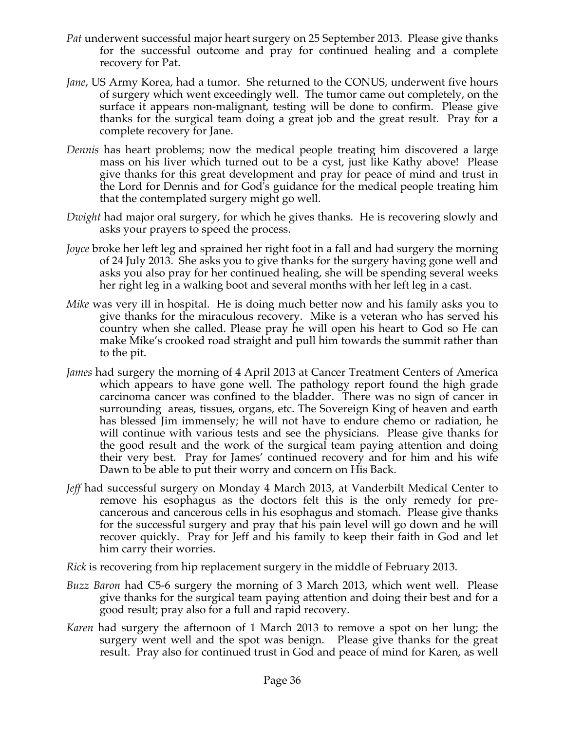- *Pat* underwent successful major heart surgery on 25 September 2013. Please give thanks for the successful outcome and pray for continued healing and a complete recovery for Pat.
- *Jane*, US Army Korea, had a tumor. She returned to the CONUS, underwent five hours of surgery which went exceedingly well. The tumor came out completely, on the surface it appears non-malignant, testing will be done to confirm. Please give thanks for the surgical team doing a great job and the great result. Pray for a complete recovery for Jane.
- *Dennis* has heart problems; now the medical people treating him discovered a large mass on his liver which turned out to be a cyst, just like Kathy above! Please give thanks for this great development and pray for peace of mind and trust in the Lord for Dennis and for God's guidance for the medical people treating him that the contemplated surgery might go well.
- *Dwight* had major oral surgery, for which he gives thanks. He is recovering slowly and asks your prayers to speed the process.
- *Joyce* broke her left leg and sprained her right foot in a fall and had surgery the morning of 24 July 2013. She asks you to give thanks for the surgery having gone well and asks you also pray for her continued healing, she will be spending several weeks her right leg in a walking boot and several months with her left leg in a cast.
- *Mike* was very ill in hospital. He is doing much better now and his family asks you to give thanks for the miraculous recovery. Mike is a veteran who has served his country when she called. Please pray he will open his heart to God so He can make Mike's crooked road straight and pull him towards the summit rather than to the pit.
- *James* had surgery the morning of 4 April 2013 at Cancer Treatment Centers of America which appears to have gone well. The pathology report found the high grade carcinoma cancer was confined to the bladder. There was no sign of cancer in surrounding areas, tissues, organs, etc. The Sovereign King of heaven and earth has blessed Jim immensely; he will not have to endure chemo or radiation, he will continue with various tests and see the physicians. Please give thanks for the good result and the work of the surgical team paying attention and doing their very best. Pray for James' continued recovery and for him and his wife Dawn to be able to put their worry and concern on His Back.
- *Jeff* had successful surgery on Monday 4 March 2013, at Vanderbilt Medical Center to remove his esophagus as the doctors felt this is the only remedy for precancerous and cancerous cells in his esophagus and stomach. Please give thanks for the successful surgery and pray that his pain level will go down and he will recover quickly. Pray for Jeff and his family to keep their faith in God and let him carry their worries.
- *Rick* is recovering from hip replacement surgery in the middle of February 2013.
- *Buzz Baron* had C5-6 surgery the morning of 3 March 2013, which went well. Please give thanks for the surgical team paying attention and doing their best and for a good result; pray also for a full and rapid recovery.
- *Karen* had surgery the afternoon of 1 March 2013 to remove a spot on her lung; the surgery went well and the spot was benign. Please give thanks for the great result. Pray also for continued trust in God and peace of mind for Karen, as well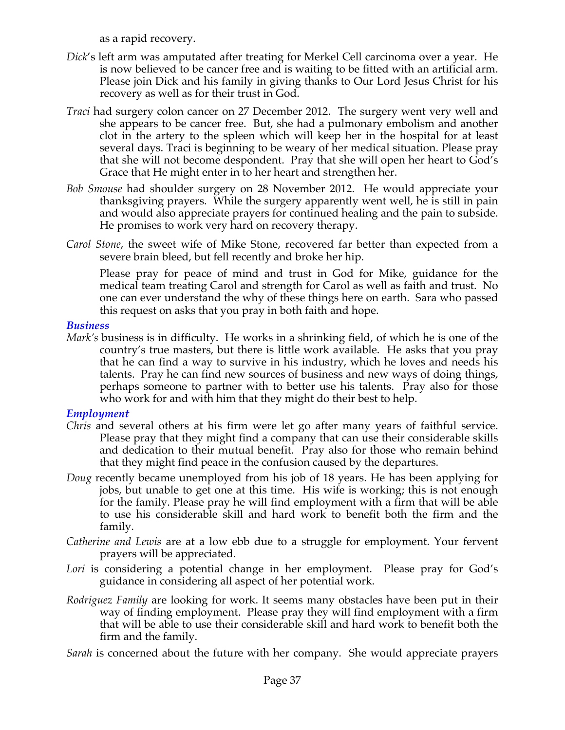as a rapid recovery.

- *Dick*'s left arm was amputated after treating for Merkel Cell carcinoma over a year. He is now believed to be cancer free and is waiting to be fitted with an artificial arm. Please join Dick and his family in giving thanks to Our Lord Jesus Christ for his recovery as well as for their trust in God.
- *Traci* had surgery colon cancer on 27 December 2012. The surgery went very well and she appears to be cancer free. But, she had a pulmonary embolism and another clot in the artery to the spleen which will keep her in the hospital for at least several days. Traci is beginning to be weary of her medical situation. Please pray that she will not become despondent. Pray that she will open her heart to God's Grace that He might enter in to her heart and strengthen her.
- *Bob Smouse* had shoulder surgery on 28 November 2012. He would appreciate your thanksgiving prayers. While the surgery apparently went well, he is still in pain and would also appreciate prayers for continued healing and the pain to subside. He promises to work very hard on recovery therapy.
- *Carol Stone*, the sweet wife of Mike Stone, recovered far better than expected from a severe brain bleed, but fell recently and broke her hip.

Please pray for peace of mind and trust in God for Mike, guidance for the medical team treating Carol and strength for Carol as well as faith and trust. No one can ever understand the why of these things here on earth. Sara who passed this request on asks that you pray in both faith and hope.

#### *Business*

*Mark's* business is in difficulty. He works in a shrinking field, of which he is one of the country's true masters, but there is little work available. He asks that you pray that he can find a way to survive in his industry, which he loves and needs his talents. Pray he can find new sources of business and new ways of doing things, perhaps someone to partner with to better use his talents. Pray also for those who work for and with him that they might do their best to help.

#### *Employment*

- *Chris* and several others at his firm were let go after many years of faithful service. Please pray that they might find a company that can use their considerable skills and dedication to their mutual benefit. Pray also for those who remain behind that they might find peace in the confusion caused by the departures.
- *Doug* recently became unemployed from his job of 18 years. He has been applying for jobs, but unable to get one at this time. His wife is working; this is not enough for the family. Please pray he will find employment with a firm that will be able to use his considerable skill and hard work to benefit both the firm and the family.
- *Catherine and Lewis* are at a low ebb due to a struggle for employment. Your fervent prayers will be appreciated.
- Lori is considering a potential change in her employment. Please pray for God's guidance in considering all aspect of her potential work.
- *Rodriguez Family* are looking for work. It seems many obstacles have been put in their way of finding employment. Please pray they will find employment with a firm that will be able to use their considerable skill and hard work to benefit both the firm and the family.

*Sarah* is concerned about the future with her company. She would appreciate prayers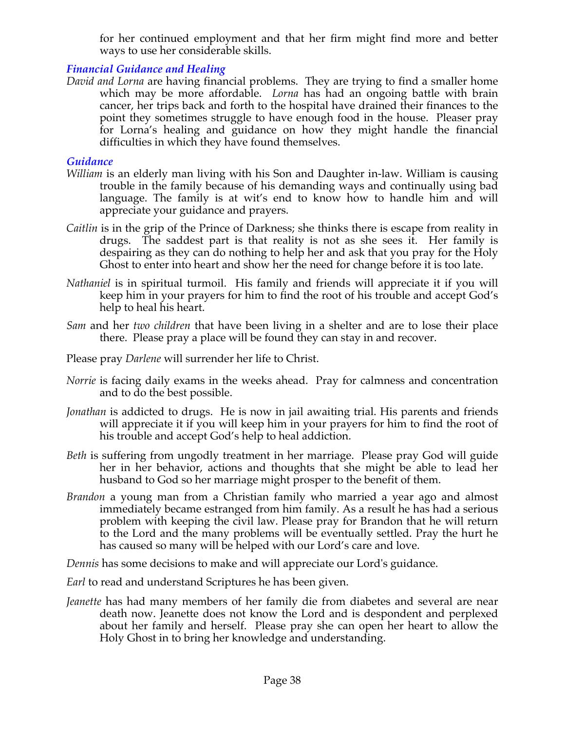for her continued employment and that her firm might find more and better ways to use her considerable skills.

# *Financial Guidance and Healing*

*David and Lorna* are having financial problems. They are trying to find a smaller home which may be more affordable. *Lorna* has had an ongoing battle with brain cancer, her trips back and forth to the hospital have drained their finances to the point they sometimes struggle to have enough food in the house. Pleaser pray for Lorna's healing and guidance on how they might handle the financial difficulties in which they have found themselves.

#### *Guidance*

- *William* is an elderly man living with his Son and Daughter in-law. William is causing trouble in the family because of his demanding ways and continually using bad language. The family is at wit's end to know how to handle him and will appreciate your guidance and prayers.
- *Caitlin* is in the grip of the Prince of Darkness; she thinks there is escape from reality in drugs. The saddest part is that reality is not as she sees it. Her family is despairing as they can do nothing to help her and ask that you pray for the Holy Ghost to enter into heart and show her the need for change before it is too late.
- *Nathaniel* is in spiritual turmoil. His family and friends will appreciate it if you will keep him in your prayers for him to find the root of his trouble and accept God's help to heal his heart.
- *Sam* and her *two children* that have been living in a shelter and are to lose their place there. Please pray a place will be found they can stay in and recover.
- Please pray *Darlene* will surrender her life to Christ.
- *Norrie* is facing daily exams in the weeks ahead. Pray for calmness and concentration and to do the best possible.
- *Jonathan* is addicted to drugs. He is now in jail awaiting trial. His parents and friends will appreciate it if you will keep him in your prayers for him to find the root of his trouble and accept God's help to heal addiction.
- *Beth* is suffering from ungodly treatment in her marriage. Please pray God will guide her in her behavior, actions and thoughts that she might be able to lead her husband to God so her marriage might prosper to the benefit of them.
- *Brandon* a young man from a Christian family who married a year ago and almost immediately became estranged from him family. As a result he has had a serious problem with keeping the civil law. Please pray for Brandon that he will return to the Lord and the many problems will be eventually settled. Pray the hurt he has caused so many will be helped with our Lord's care and love.

*Dennis* has some decisions to make and will appreciate our Lord's guidance.

*Earl* to read and understand Scriptures he has been given.

*Jeanette* has had many members of her family die from diabetes and several are near death now. Jeanette does not know the Lord and is despondent and perplexed about her family and herself. Please pray she can open her heart to allow the Holy Ghost in to bring her knowledge and understanding.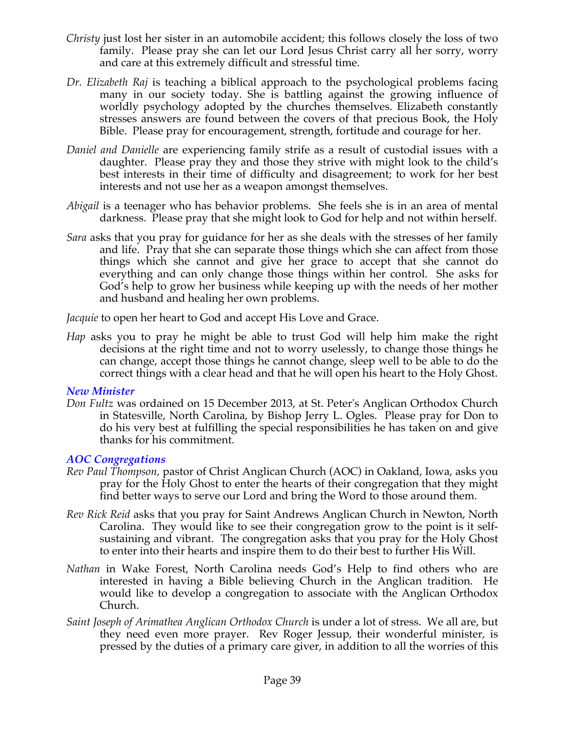- *Christy* just lost her sister in an automobile accident; this follows closely the loss of two family. Please pray she can let our Lord Jesus Christ carry all her sorry, worry and care at this extremely difficult and stressful time.
- *Dr. Elizabeth Raj* is teaching a biblical approach to the psychological problems facing many in our society today. She is battling against the growing influence of worldly psychology adopted by the churches themselves. Elizabeth constantly stresses answers are found between the covers of that precious Book, the Holy Bible. Please pray for encouragement, strength, fortitude and courage for her.
- *Daniel and Danielle* are experiencing family strife as a result of custodial issues with a daughter. Please pray they and those they strive with might look to the child's best interests in their time of difficulty and disagreement; to work for her best interests and not use her as a weapon amongst themselves.
- *Abigail* is a teenager who has behavior problems. She feels she is in an area of mental darkness. Please pray that she might look to God for help and not within herself.
- *Sara* asks that you pray for guidance for her as she deals with the stresses of her family and life. Pray that she can separate those things which she can affect from those things which she cannot and give her grace to accept that she cannot do everything and can only change those things within her control. She asks for God's help to grow her business while keeping up with the needs of her mother and husband and healing her own problems.

*Jacquie* to open her heart to God and accept His Love and Grace.

*Hap* asks you to pray he might be able to trust God will help him make the right decisions at the right time and not to worry uselessly, to change those things he can change, accept those things he cannot change, sleep well to be able to do the correct things with a clear head and that he will open his heart to the Holy Ghost.

# *New Minister*

*Don Fultz* was ordained on 15 December 2013, at St. Peter's Anglican Orthodox Church in Statesville, North Carolina, by Bishop Jerry L. Ogles. Please pray for Don to do his very best at fulfilling the special responsibilities he has taken on and give thanks for his commitment.

# *AOC Congregations*

- *Rev Paul Thompson,* pastor of Christ Anglican Church (AOC) in Oakland, Iowa, asks you pray for the Holy Ghost to enter the hearts of their congregation that they might find better ways to serve our Lord and bring the Word to those around them.
- *Rev Rick Reid* asks that you pray for Saint Andrews Anglican Church in Newton, North Carolina. They would like to see their congregation grow to the point is it selfsustaining and vibrant. The congregation asks that you pray for the Holy Ghost to enter into their hearts and inspire them to do their best to further His Will.
- *Nathan* in Wake Forest, North Carolina needs God's Help to find others who are interested in having a Bible believing Church in the Anglican tradition. He would like to develop a congregation to associate with the Anglican Orthodox Church.
- *Saint Joseph of Arimathea Anglican Orthodox Church* is under a lot of stress. We all are, but they need even more prayer. Rev Roger Jessup, their wonderful minister, is pressed by the duties of a primary care giver, in addition to all the worries of this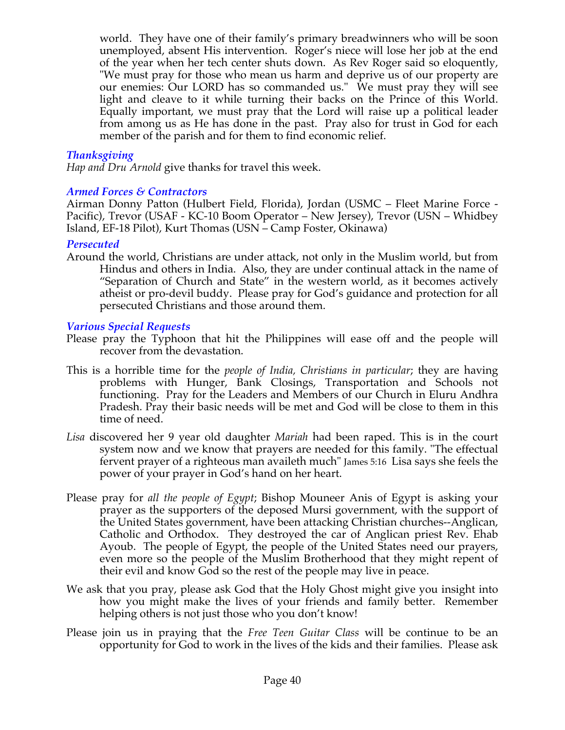world. They have one of their family's primary breadwinners who will be soon unemployed, absent His intervention. Roger's niece will lose her job at the end of the year when her tech center shuts down. As Rev Roger said so eloquently, "We must pray for those who mean us harm and deprive us of our property are our enemies: Our LORD has so commanded us." We must pray they will see light and cleave to it while turning their backs on the Prince of this World. Equally important, we must pray that the Lord will raise up a political leader from among us as He has done in the past. Pray also for trust in God for each member of the parish and for them to find economic relief.

#### *Thanksgiving*

*Hap and Dru Arnold* give thanks for travel this week.

#### *Armed Forces & Contractors*

Airman Donny Patton (Hulbert Field, Florida), Jordan (USMC – Fleet Marine Force - Pacific), Trevor (USAF - KC-10 Boom Operator – New Jersey), Trevor (USN – Whidbey Island, EF-18 Pilot), Kurt Thomas (USN – Camp Foster, Okinawa)

#### *Persecuted*

Around the world, Christians are under attack, not only in the Muslim world, but from Hindus and others in India. Also, they are under continual attack in the name of "Separation of Church and State" in the western world, as it becomes actively atheist or pro-devil buddy. Please pray for God's guidance and protection for all persecuted Christians and those around them.

#### *Various Special Requests*

- Please pray the Typhoon that hit the Philippines will ease off and the people will recover from the devastation.
- This is a horrible time for the *people of India, Christians in particular*; they are having problems with Hunger, Bank Closings, Transportation and Schools not functioning. Pray for the Leaders and Members of our Church in Eluru Andhra Pradesh. Pray their basic needs will be met and God will be close to them in this time of need.
- *Lisa* discovered her 9 year old daughter *Mariah* had been raped. This is in the court system now and we know that prayers are needed for this family. "The effectual fervent prayer of a righteous man availeth much" James 5:16 Lisa says she feels the power of your prayer in God's hand on her heart.
- Please pray for *all the people of Egypt*; Bishop Mouneer Anis of Egypt is asking your prayer as the supporters of the deposed Mursi government, with the support of the United States government, have been attacking Christian churches--Anglican, Catholic and Orthodox. They destroyed the car of Anglican priest Rev. Ehab Ayoub. The people of Egypt, the people of the United States need our prayers, even more so the people of the Muslim Brotherhood that they might repent of their evil and know God so the rest of the people may live in peace.
- We ask that you pray, please ask God that the Holy Ghost might give you insight into how you might make the lives of your friends and family better. Remember helping others is not just those who you don't know!
- Please join us in praying that the *Free Teen Guitar Class* will be continue to be an opportunity for God to work in the lives of the kids and their families. Please ask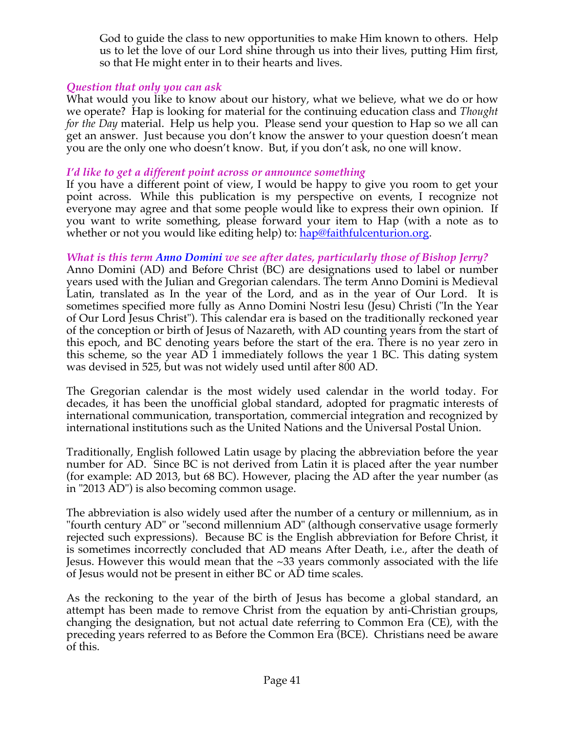God to guide the class to new opportunities to make Him known to others. Help us to let the love of our Lord shine through us into their lives, putting Him first, so that He might enter in to their hearts and lives.

# *Question that only you can ask*

What would you like to know about our history, what we believe, what we do or how we operate? Hap is looking for material for the continuing education class and *Thought for the Day* material. Help us help you. Please send your question to Hap so we all can get an answer. Just because you don't know the answer to your question doesn't mean you are the only one who doesn't know. But, if you don't ask, no one will know.

#### *I'd like to get a different point across or announce something*

If you have a different point of view, I would be happy to give you room to get your point across. While this publication is my perspective on events, I recognize not everyone may agree and that some people would like to express their own opinion. If you want to write something, please forward your item to Hap (with a note as to whether or not you would like editing help) to: hap@faithfulcenturion.org.

## *What is this term Anno Domini we see after dates, particularly those of Bishop Jerry?*

Anno Domini (AD) and Before Christ (BC) are designations used to label or number years used with the Julian and Gregorian calendars. The term Anno Domini is Medieval Latin, translated as In the year of the Lord, and as in the year of Our Lord. It is sometimes specified more fully as Anno Domini Nostri Iesu (Jesu) Christi ("In the Year of Our Lord Jesus Christ"). This calendar era is based on the traditionally reckoned year of the conception or birth of Jesus of Nazareth, with AD counting years from the start of this epoch, and BC denoting years before the start of the era. There is no year zero in this scheme, so the year AD 1 immediately follows the year 1 BC. This dating system was devised in 525, but was not widely used until after 800 AD.

The Gregorian calendar is the most widely used calendar in the world today. For decades, it has been the unofficial global standard, adopted for pragmatic interests of international communication, transportation, commercial integration and recognized by international institutions such as the United Nations and the Universal Postal Union.

Traditionally, English followed Latin usage by placing the abbreviation before the year number for AD. Since BC is not derived from Latin it is placed after the year number (for example: AD 2013, but 68 BC). However, placing the AD after the year number (as in "2013 AD") is also becoming common usage.

The abbreviation is also widely used after the number of a century or millennium, as in "fourth century AD" or "second millennium AD" (although conservative usage formerly rejected such expressions). Because BC is the English abbreviation for Before Christ, it is sometimes incorrectly concluded that AD means After Death, i.e., after the death of Jesus. However this would mean that the ~33 years commonly associated with the life of Jesus would not be present in either BC or AD time scales.

As the reckoning to the year of the birth of Jesus has become a global standard, an attempt has been made to remove Christ from the equation by anti-Christian groups, changing the designation, but not actual date referring to Common Era (CE), with the preceding years referred to as Before the Common Era (BCE). Christians need be aware of this.